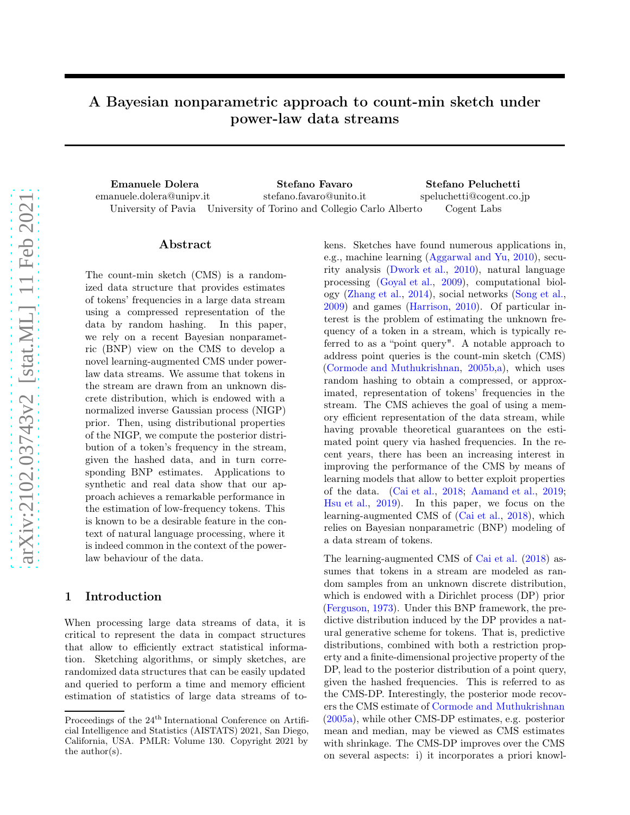# A Bayesian nonparametric approach to count-min sketch under power-law data streams

Emanuele Dolera Stefano Favaro Stefano Peluchetti emanuele.dolera@unipv.it University of Pavia University of Torino and Collegio Carlo Alberto stefano.favaro@unito.it speluchetti@cogent.co.jp Cogent Labs

#### Abstract

The count-min sketch (CMS) is a randomized data structure that provides estimates of tokens' frequencies in a large data stream using a compressed representation of the data by random hashing. In this paper, we rely on a recent Bayesian nonparametric (BNP) view on the CMS to develop a novel learning-augmented CMS under powerlaw data streams. We assume that tokens in the stream are drawn from an unknown discrete distribution, which is endowed with a normalized inverse Gaussian process (NIGP) prior. Then, using distributional properties of the NIGP, we compute the posterior distribution of a token's frequency in the stream, given the hashed data, and in turn corresponding BNP estimates. Applications to synthetic and real data show that our approach achieves a remarkable performance in the estimation of low-frequency tokens. This is known to be a desirable feature in the context of natural language processing, where it is indeed common in the context of the powerlaw behaviour of the data.

#### 1 Introduction

When processing large data streams of data, it is critical to represent the data in compact structures that allow to efficiently extract statistical information. Sketching algorithms, or simply sketches, are randomized data structures that can be easily updated and queried to perform a time and memory efficient estimation of statistics of large data streams of tokens. Sketches have found numerous applications in, e.g., machine learning [\(Aggarwal and Yu,](#page-9-0) [2010](#page-9-0)), security analysis [\(Dwork et al.](#page-9-1), [2010\)](#page-9-1), natural language processing [\(Goyal et al.](#page-9-2), [2009](#page-9-2)), computational biology [\(Zhang et al.](#page-10-0), [2014\)](#page-10-0), social networks [\(Song et al.,](#page-10-1) [2009\)](#page-10-1) and games [\(Harrison,](#page-9-3) [2010\)](#page-9-3). Of particular interest is the problem of estimating the unknown frequency of a token in a stream, which is typically referred to as a "point query". A notable approach to address point queries is the count-min sketch (CMS) [\(Cormode and Muthukrishnan,](#page-24-0) [2005b](#page-24-0)[,a](#page-24-1)), which uses random hashing to obtain a compressed, or approximated, representation of tokens' frequencies in the stream. The CMS achieves the goal of using a memory efficient representation of the data stream, while having provable theoretical guarantees on the estimated point query via hashed frequencies. In the recent years, there has been an increasing interest in improving the performance of the CMS by means of learning models that allow to better exploit properties of the data. [\(Cai et al.](#page-24-2), [2018](#page-24-2); [Aamand et al.,](#page-9-4) [2019;](#page-9-4) [Hsu et al.](#page-9-5), [2019\)](#page-9-5). In this paper, we focus on the learning-augmented CMS of [\(Cai et al.](#page-24-2), [2018](#page-24-2)), which relies on Bayesian nonparametric (BNP) modeling of a data stream of tokens.

The learning-augmented CMS of [Cai et al.](#page-24-2) [\(2018\)](#page-24-2) assumes that tokens in a stream are modeled as random samples from an unknown discrete distribution, which is endowed with a Dirichlet process (DP) prior [\(Ferguson,](#page-9-6) [1973](#page-9-6)). Under this BNP framework, the predictive distribution induced by the DP provides a natural generative scheme for tokens. That is, predictive distributions, combined with both a restriction property and a finite-dimensional projective property of the DP, lead to the posterior distribution of a point query, given the hashed frequencies. This is referred to as the CMS-DP. Interestingly, the posterior mode recovers the CMS estimate of [Cormode and Muthukrishnan](#page-24-1) [\(2005a\)](#page-24-1), while other CMS-DP estimates, e.g. posterior mean and median, may be viewed as CMS estimates with shrinkage. The CMS-DP improves over the CMS on several aspects: i) it incorporates a priori knowl-

Proceedings of the 24<sup>th</sup> International Conference on Artificial Intelligence and Statistics (AISTATS) 2021, San Diego, California, USA. PMLR: Volume 130. Copyright 2021 by the author(s).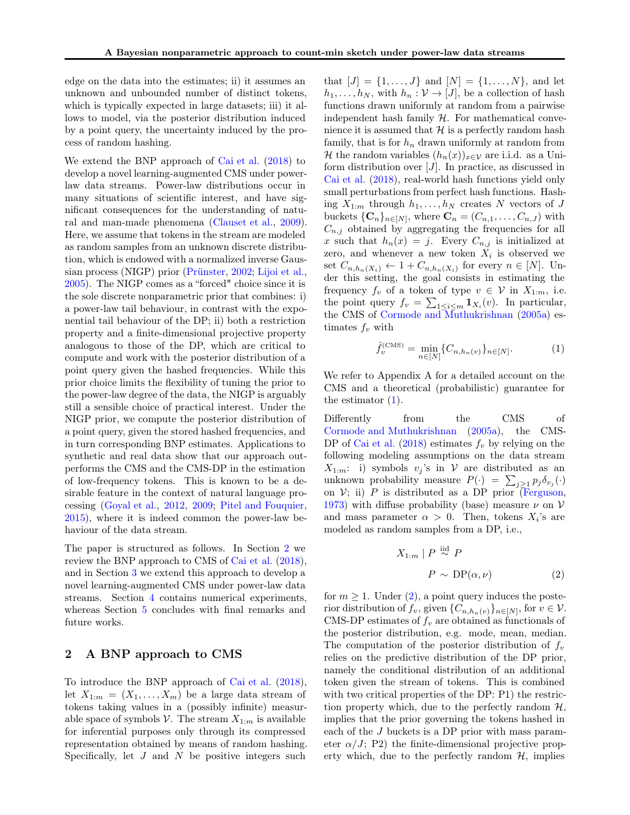edge on the data into the estimates; ii) it assumes an unknown and unbounded number of distinct tokens, which is typically expected in large datasets; iii) it allows to model, via the posterior distribution induced by a point query, the uncertainty induced by the process of random hashing.

We extend the BNP approach of [Cai et al.](#page-24-2) [\(2018](#page-24-2)) to develop a novel learning-augmented CMS under powerlaw data streams. Power-law distributions occur in many situations of scientific interest, and have significant consequences for the understanding of natural and man-made phenomena [\(Clauset et al.](#page-9-7), [2009\)](#page-9-7). Here, we assume that tokens in the stream are modeled as random samples from an unknown discrete distribution, which is endowed with a normalized inverse Gaussian process (NIGP) prior [\(Prünster](#page-25-0), [2002;](#page-25-0) [Lijoi et al.,](#page-24-3) [2005\)](#page-24-3). The NIGP comes as a "forced" choice since it is the sole discrete nonparametric prior that combines: i) a power-law tail behaviour, in contrast with the exponential tail behaviour of the DP; ii) both a restriction property and a finite-dimensional projective property analogous to those of the DP, which are critical to compute and work with the posterior distribution of a point query given the hashed frequencies. While this prior choice limits the flexibility of tuning the prior to the power-law degree of the data, the NIGP is arguably still a sensible choice of practical interest. Under the NIGP prior, we compute the posterior distribution of a point query, given the stored hashed frequencies, and in turn corresponding BNP estimates. Applications to synthetic and real data show that our approach outperforms the CMS and the CMS-DP in the estimation of low-frequency tokens. This is known to be a desirable feature in the context of natural language processing [\(Goyal et al.](#page-9-8), [2012,](#page-9-8) [2009;](#page-9-2) [Pitel and Fouquier,](#page-9-9) [2015\)](#page-9-9), where it is indeed common the power-law behaviour of the data stream.

The paper is structured as follows. In Section [2](#page-1-0) we review the BNP approach to CMS of [Cai et al.](#page-24-2) [\(2018\)](#page-24-2), and in Section [3](#page-2-0) we extend this approach to develop a novel learning-augmented CMS under power-law data streams. Section [4](#page-6-0) contains numerical experiments, whereas Section [5](#page-7-0) concludes with final remarks and future works.

## <span id="page-1-0"></span>2 A BNP approach to CMS

To introduce the BNP approach of [Cai et al.](#page-24-2) [\(2018\)](#page-24-2), let  $X_{1:m} = (X_1, \ldots, X_m)$  be a large data stream of tokens taking values in a (possibly infinite) measurable space of symbols V. The stream  $X_{1:m}$  is available for inferential purposes only through its compressed representation obtained by means of random hashing. Specifically, let  $J$  and  $N$  be positive integers such

that  $[J] = \{1, ..., J\}$  and  $[N] = \{1, ..., N\}$ , and let  $h_1, \ldots, h_N$ , with  $h_n : \mathcal{V} \to [J]$ , be a collection of hash functions drawn uniformly at random from a pairwise independent hash family  $H$ . For mathematical convenience it is assumed that  $H$  is a perfectly random hash family, that is for  $h_n$  drawn uniformly at random from H the random variables  $(h_n(x))_{x\in\mathcal{V}}$  are i.i.d. as a Uniform distribution over  $[J]$ . In practice, as discussed in [Cai et al.](#page-24-2) [\(2018\)](#page-24-2), real-world hash functions yield only small perturbations from perfect hash functions. Hashing  $X_{1:m}$  through  $h_1, \ldots, h_N$  creates N vectors of J buckets  $\{\mathbf C_n\}_{n\in[N]}$ , where  $\mathbf C_n = (C_{n,1}, \ldots, C_{n,J})$  with  $C_{n,j}$  obtained by aggregating the frequencies for all x such that  $h_n(x) = j$ . Every  $C_{n,j}$  is initialized at zero, and whenever a new token  $X_i$  is observed we set  $C_{n,h_n(X_i)} \leftarrow 1 + C_{n,h_n(X_i)}$  for every  $n \in [N]$ . Under this setting, the goal consists in estimating the frequency  $f_v$  of a token of type  $v \in V$  in  $X_{1:m}$ , i.e. the point query  $f_v = \sum_{1 \leq i \leq m} \mathbf{1}_{X_i}(v)$ . In particular, the CMS of [Cormode and Muthukrishnan](#page-24-1) [\(2005a\)](#page-24-1) estimates  $f_v$  with

<span id="page-1-1"></span>
$$
\hat{f}_v^{(\text{CMS})} = \min_{n \in [N]} \{C_{n,h_n(v)}\}_{n \in [N]}.
$$
 (1)

We refer to Appendix A for a detailed account on the CMS and a theoretical (probabilistic) guarantee for the estimator  $(1)$ .

Differently from the CMS of [Cormode and Muthukrishnan](#page-24-1) [\(2005a](#page-24-1)), the CMS-DP of [Cai et al.](#page-24-2)  $(2018)$  $(2018)$  estimates  $f_v$  by relying on the following modeling assumptions on the data stream  $X_{1:m}$ : i) symbols  $v_j$ 's in  $\mathcal V$  are distributed as an unknown probability measure  $P(\cdot) = \sum_{j \geq 1} p_j \delta_{v_j}(\cdot)$ on  $V$ ; ii) P is distributed as a DP prior [\(Ferguson,](#page-9-6) [1973\)](#page-9-6) with diffuse probability (base) measure  $\nu$  on  $\nu$ and mass parameter  $\alpha > 0$ . Then, tokens  $X_i$ 's are modeled as random samples from a DP, i.e.,

<span id="page-1-2"></span>
$$
X_{1:m} \mid P \stackrel{\text{iid}}{\sim} P
$$

$$
P \sim \text{DP}(\alpha, \nu) \tag{2}
$$

for  $m \geq 1$ . Under [\(2\)](#page-1-2), a point query induces the posterior distribution of  $f_v$ , given  $\{C_{n,h_n(v)}\}_{n\in[N]}$ , for  $v \in V$ . CMS-DP estimates of  $f_v$  are obtained as functionals of the posterior distribution, e.g. mode, mean, median. The computation of the posterior distribution of  $f_v$ relies on the predictive distribution of the DP prior, namely the conditional distribution of an additional token given the stream of tokens. This is combined with two critical properties of the DP: P1) the restriction property which, due to the perfectly random  $H$ , implies that the prior governing the tokens hashed in each of the J buckets is a DP prior with mass parameter  $\alpha/J$ ; P2) the finite-dimensional projective property which, due to the perfectly random  $H$ , implies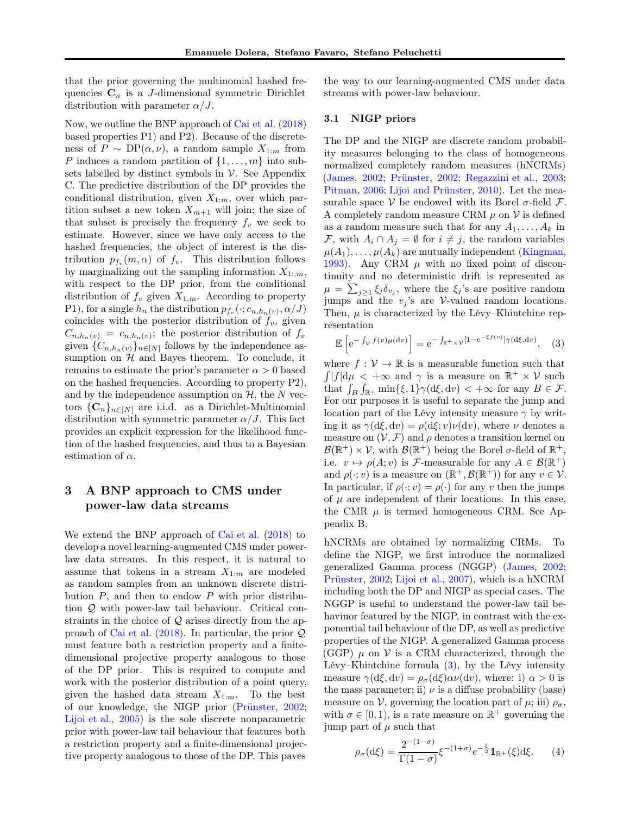that the prior governing the multinomial hashed frequencies  $\mathbf{C}_n$  is a *J*-dimensional symmetric Dirichlet distribution with parameter  $\alpha/J$ .

Now, we outline the BNP approach of [Cai et al.](#page-24-2) [\(2018](#page-24-2)) based properties P1) and P2). Because of the discreteness of  $P \sim \text{DP}(\alpha, \nu)$ , a random sample  $X_{1:m}$  from P induces a random partition of  $\{1, \ldots, m\}$  into subsets labelled by distinct symbols in  $\mathcal V$ . See Appendix C. The predictive distribution of the DP provides the conditional distribution, given  $X_{1:m}$ , over which partition subset a new token  $X_{m+1}$  will join; the size of that subset is precisely the frequency  $f_v$  we seek to estimate. However, since we have only access to the hashed frequencies, the object of interest is the distribution  $p_{f_v}(m,\alpha)$  of  $f_v$ . This distribution follows by marginalizing out the sampling information  $X_{1:,m}$ , with respect to the DP prior, from the conditional distribution of  $f_v$  given  $X_{1,m}$ . According to property P1), for a single  $h_n$  the distribution  $p_{f_v}(\cdot; c_{n,h_n(v)}, \alpha/J)$ coincides with the posterior distribution of  $f_v$ , given  $C_{n,h_n(v)} = c_{n,h_n(v)}$ ; the posterior distribution of  $f_v$ given  ${C_{n,h_n(v)}}_{{n \in [N]}}$  follows by the independence assumption on  $\mathcal{H}$  and Bayes theorem. To conclude, it remains to estimate the prior's parameter  $\alpha > 0$  based on the hashed frequencies. According to property P2), and by the independence assumption on  $H$ , the N vectors  $\{C_n\}_{n\in[N]}$  are i.i.d. as a Dirichlet-Multinomial distribution with symmetric parameter  $\alpha/J$ . This fact provides an explicit expression for the likelihood function of the hashed frequencies, and thus to a Bayesian estimation of  $\alpha$ .

## <span id="page-2-0"></span>3 A BNP approach to CMS under power-law data streams

We extend the BNP approach of [Cai et al.](#page-24-2) [\(2018](#page-24-2)) to develop a novel learning-augmented CMS under powerlaw data streams. In this respect, it is natural to assume that tokens in a stream  $X_{1:m}$  are modeled as random samples from an unknown discrete distribution  $P$ , and then to endow  $P$  with prior distribution Q with power-law tail behaviour. Critical constraints in the choice of  $Q$  arises directly from the approach of [Cai et al.](#page-24-2) [\(2018\)](#page-24-2). In particular, the prior Q must feature both a restriction property and a finitedimensional projective property analogous to those of the DP prior. This is required to compute and work with the posterior distribution of a point query, given the hashed data stream  $X_{1:m}$ . To the best of our knowledge, the NIGP prior [\(Prünster,](#page-25-0) [2002;](#page-25-0) [Lijoi et al.](#page-24-3), [2005\)](#page-24-3) is the sole discrete nonparametric prior with power-law tail behaviour that features both a restriction property and a finite-dimensional projective property analogous to those of the DP. This paves

the way to our learning-augmented CMS under data streams with power-law behaviour.

#### 3.1 NIGP priors

The DP and the NIGP are discrete random probability measures belonging to the class of homogeneous normalized completely random measures (hNCRMs) [\(James,](#page-24-4) [2002](#page-24-4); [Prünster,](#page-25-0) [2002](#page-25-0); [Regazzini et al.,](#page-25-1) [2003;](#page-25-1) [Pitman](#page-25-2), [2006;](#page-25-2) [Lijoi and Prünster,](#page-24-5) [2010\)](#page-24-5). Let the measurable space V be endowed with its Borel  $\sigma$ -field F. A completely random measure CRM  $\mu$  on  $\mathcal V$  is defined as a random measure such that for any  $A_1, \ldots, A_k$  in *F*, with  $A_i \cap A_j = ∅$  for  $i ≠ j$ , the random variables  $\mu(A_1), \ldots, \mu(A_k)$  are mutually independent [\(Kingman,](#page-24-6) [1993\)](#page-24-6). Any CRM  $\mu$  with no fixed point of discontinuity and no deterministic drift is represented as  $\mu = \sum_{j\geq 1} \xi_j \delta_{v_j}$ , where the  $\xi_j$ 's are positive random jumps and the  $v_j$ 's are V-valued random locations. Then,  $\mu$  is characterized by the Lévy–Khintchine representation

<span id="page-2-1"></span>
$$
\mathbb{E}\left[e^{-\int_{\mathcal{V}}f(v)\mu(\mathrm{d}v)}\right] = e^{-\int_{\mathbb{R}^+\times\mathcal{V}}[1-e^{-\xi f(v)}]\gamma(\mathrm{d}\xi,\mathrm{d}v)},\quad(3)
$$

where  $f: V \to \mathbb{R}$  is a measurable function such that  $\int |f| d\mu$  <  $+\infty$  and  $\gamma$  is a measure on  $\mathbb{R}^+ \times \mathcal{V}$  such that  $\int_B \int_{\mathbb{R}^+} \min\{\xi, 1\} \gamma(d\xi, dv) < +\infty$  for any  $B \in \mathcal{F}$ . For our purposes it is useful to separate the jump and location part of the Lévy intensity measure  $\gamma$  by writing it as  $\gamma(\mathrm{d}\xi, \mathrm{d}v) = \rho(\mathrm{d}\xi; v)\nu(\mathrm{d}v)$ , where  $\nu$  denotes a measure on  $(\mathcal{V}, \mathcal{F})$  and  $\rho$  denotes a transition kernel on  $\mathcal{B}(\mathbb{R}^+) \times \mathcal{V}$ , with  $\mathcal{B}(\mathbb{R}^+)$  being the Borel  $\sigma$ -field of  $\mathbb{R}^+$ , i.e.  $v \mapsto \rho(A; v)$  is F-measurable for any  $A \in \mathcal{B}(\mathbb{R}^+)$ and  $\rho(\cdot; v)$  is a measure on  $(\mathbb{R}^+, \mathcal{B}(\mathbb{R}^+))$  for any  $v \in \mathcal{V}$ . In particular, if  $\rho(\cdot; v) = \rho(\cdot)$  for any v then the jumps of  $\mu$  are independent of their locations. In this case, the CMR  $\mu$  is termed homogeneous CRM. See Appendix B.

hNCRMs are obtained by normalizing CRMs. To define the NIGP, we first introduce the normalized generalized Gamma process (NGGP) [\(James](#page-24-4), [2002;](#page-24-4) [Prünster,](#page-25-0) [2002;](#page-25-0) [Lijoi et al.,](#page-24-7) [2007\)](#page-24-7), which is a hNCRM including both the DP and NIGP as special cases. The NGGP is useful to understand the power-law tail behaviuor featured by the NIGP, in contrast with the exponential tail behaviour of the DP, as well as predictive properties of the NIGP. A generalized Gamma process  $(GGP)$   $\mu$  on  $\mathcal V$  is a CRM characterized, through the Lévy–Khintchine formula [\(3\)](#page-2-1), by the Lévy intensity measure  $\gamma(\mathrm{d}\xi, \mathrm{d}v) = \rho_{\sigma}(\mathrm{d}\xi)\alpha\nu(\mathrm{d}v)$ , where: i)  $\alpha > 0$  is the mass parameter; ii)  $\nu$  is a diffuse probability (base) measure on V, governing the location part of  $\mu$ ; iii)  $\rho_{\sigma}$ , with  $\sigma \in [0, 1)$ , is a rate measure on  $\mathbb{R}^+$  governing the jump part of  $\mu$  such that

<span id="page-2-2"></span>
$$
\rho_{\sigma}(\mathrm{d}\xi) = \frac{2^{-(1-\sigma)}}{\Gamma(1-\sigma)} \xi^{-(1+\sigma)} e^{-\frac{\xi}{2}} \mathbf{1}_{\mathbb{R}^+}(\xi) \mathrm{d}\xi. \qquad (4)
$$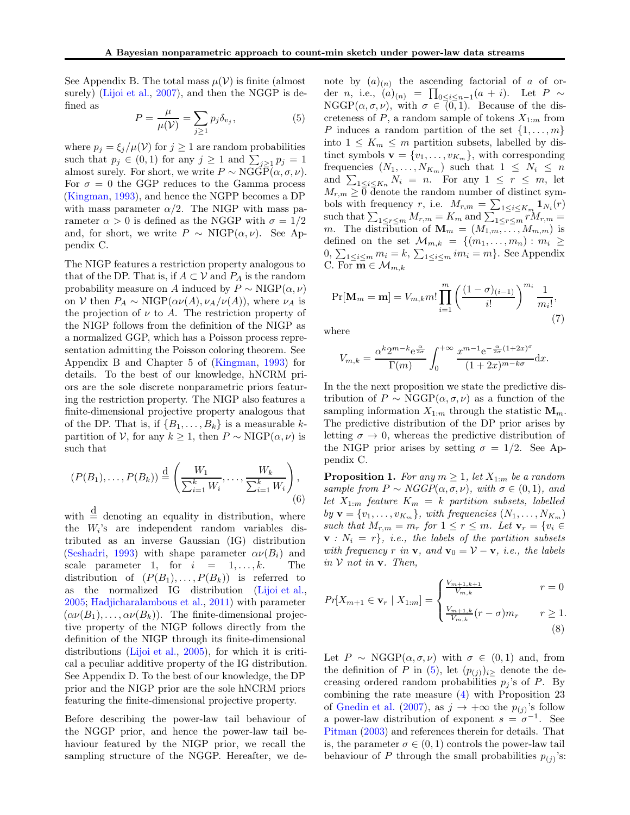See Appendix B. The total mass  $\mu(\mathcal{V})$  is finite (almost surely) [\(Lijoi et al.](#page-24-7), [2007\)](#page-24-7), and then the NGGP is defined as

<span id="page-3-0"></span>
$$
P = \frac{\mu}{\mu(\mathcal{V})} = \sum_{j \ge 1} p_j \delta_{v_j},\tag{5}
$$

where  $p_j = \xi_j/\mu(\mathcal{V})$  for  $j \geq 1$  are random probabilities such that  $p_j \in (0,1)$  for any  $j \ge 1$  and  $\sum_{j\ge 1} p_j = 1$ almost surely. For short, we write  $P \sim \text{NGG}\bar{P}(\alpha, \sigma, \nu)$ . For  $\sigma = 0$  the GGP reduces to the Gamma process [\(Kingman,](#page-24-6) [1993](#page-24-6)), and hence the NGPP becomes a DP with mass parameter  $\alpha/2$ . The NIGP with mass parameter  $\alpha > 0$  is defined as the NGGP with  $\sigma = 1/2$ and, for short, we write  $P \sim \text{NIGP}(\alpha, \nu)$ . See Appendix C.

The NIGP features a restriction property analogous to that of the DP. That is, if  $A \subset V$  and  $P_A$  is the random probability measure on A induced by  $P \sim \text{NIGP}(\alpha, \nu)$ on V then  $P_A \sim \text{NIGP}(\alpha \nu(A), \nu_A/\nu(A))$ , where  $\nu_A$  is the projection of  $\nu$  to A. The restriction property of the NIGP follows from the definition of the NIGP as a normalized GGP, which has a Poisson process representation admitting the Poisson coloring theorem. See Appendix B and Chapter 5 of [\(Kingman](#page-24-6), [1993\)](#page-24-6) for details. To the best of our knowledge, hNCRM priors are the sole discrete nonparametric priors featuring the restriction property. The NIGP also features a finite-dimensional projective property analogous that of the DP. That is, if  $\{B_1, \ldots, B_k\}$  is a measurable kpartition of V, for any  $k \geq 1$ , then  $P \sim \text{NIGP}(\alpha, \nu)$  is such that

<span id="page-3-3"></span>
$$
(P(B_1), \ldots, P(B_k)) \stackrel{\text{d}}{=} \left( \frac{W_1}{\sum_{i=1}^k W_i}, \ldots, \frac{W_k}{\sum_{i=1}^k W_i} \right), \tag{6}
$$

with  $\stackrel{\text{d}}{=}$  denoting an equality in distribution, where the  $W_i$ 's are independent random variables distributed as an inverse Gaussian (IG) distribution [\(Seshadri](#page-25-3), [1993\)](#page-25-3) with shape parameter  $\alpha \nu(B_i)$  and scale parameter 1, for  $i = 1, ..., k$ . The distribution of  $(P(B_1), \ldots, P(B_k))$  is referred to as the normalized IG distribution [\(Lijoi et al.,](#page-24-3) [2005;](#page-24-3) Hadjicharalambous et al., 2011) with parameter  $(\alpha\nu(B_1), \ldots, \alpha\nu(B_k)).$  The finite-dimensional projective property of the NIGP follows directly from the definition of the NIGP through its finite-dimensional distributions [\(Lijoi et al.](#page-24-3), [2005\)](#page-24-3), for which it is critical a peculiar additive property of the IG distribution. See Appendix D. To the best of our knowledge, the DP prior and the NIGP prior are the sole hNCRM priors featuring the finite-dimensional projective property.

Before describing the power-law tail behaviour of the NGGP prior, and hence the power-law tail behaviour featured by the NIGP prior, we recall the sampling structure of the NGGP. Hereafter, we de-

note by  $(a)_{(n)}$  the ascending factorial of a of order n, i.e.,  $(a)_{(n)} = \prod_{0 \le i \le n-1} (a+i)$ . Let  $P \sim$  $NGGP(\alpha, \sigma, \nu)$ , with  $\sigma \in (0, 1)$ . Because of the discreteness of  $P$ , a random sample of tokens  $X_{1:m}$  from P induces a random partition of the set  $\{1, \ldots, m\}$ into  $1 \leq K_m \leq m$  partition subsets, labelled by distinct symbols  $\mathbf{v} = \{v_1, \ldots, v_{K_m}\},$  with corresponding frequencies  $(N_1, \ldots, N_{K_m})$  such that  $1 \leq N_i \leq n$ and  $\sum_{1 \leq i \leq K_n} N_i = n$ . For any  $1 \leq r \leq m$ , let  $M_{r,m} \geq 0$  denote the random number of distinct symbols with frequency r, i.e.  $M_{r,m} = \sum_{1 \leq i \leq K_m} \mathbf{1}_{N_i}(r)$ such that  $\sum_{1 \leq r \leq m} M_{r,m} = K_m$  and  $\sum_{1 \leq r \leq m} r M_{r,m} =$ m. The distribution of  $\mathbf{M}_m = (M_{1,m}, \ldots, M_{m,m})$  is defined on the set  $\mathcal{M}_{m,k} = \{(m_1, \ldots, m_n) : m_i \geq$  $0, \sum_{1 \leq i \leq m} m_i = k, \sum_{1 \leq i \leq m} im_i = m$ . See Appendix C. For  $\mathbf{m} \in \mathcal{M}_{m,k}$ 

<span id="page-3-2"></span>
$$
\Pr[\mathbf{M}_{m} = \mathbf{m}] = V_{m,k} m! \prod_{i=1}^{m} \left( \frac{(1-\sigma)_{(i-1)}}{i!} \right)^{m_i} \frac{1}{m_i!},\tag{7}
$$

where

$$
V_{m,k} = \frac{\alpha^k 2^{m-k} e^{\frac{\alpha}{2\sigma}}}{\Gamma(m)} \int_0^{+\infty} \frac{x^{m-1} e^{-\frac{\alpha}{2\sigma}(1+2x)^\sigma}}{(1+2x)^{m-k\sigma}} dx.
$$

In the the next proposition we state the predictive distribution of  $P \sim \text{NGGP}(\alpha, \sigma, \nu)$  as a function of the sampling information  $X_{1:m}$  through the statistic  $\mathbf{M}_m$ . The predictive distribution of the DP prior arises by letting  $\sigma \to 0$ , whereas the predictive distribution of the NIGP prior arises by setting  $\sigma = 1/2$ . See Appendix C.

**Proposition 1.** For any  $m \geq 1$ , let  $X_{1:m}$  be a random sample from  $P \sim NGGP(\alpha, \sigma, \nu)$ , with  $\sigma \in (0, 1)$ , and let  $X_{1:m}$  feature  $K_m = k$  partition subsets, labelled by  $\mathbf{v} = \{v_1, \ldots, v_{K_m}\},$  with frequencies  $(N_1, \ldots, N_{K_m})$ such that  $M_{r,m} = m_r$  for  $1 \leq r \leq m$ . Let  $\mathbf{v}_r = \{v_i \in$  $\mathbf{v}$  :  $N_i = r$ , *i.e.*, the labels of the partition subsets with frequency r in **v**, and **v**<sub>0</sub> = **V** – **v**, *i.e.*, the labels in  $V$  not in  $v$ . Then,

$$
Pr[X_{m+1} \in \mathbf{v}_r \mid X_{1:m}] = \begin{cases} \frac{V_{m+1,k+1}}{V_{m,k}} & r = 0\\ \frac{V_{m+1,k}}{V_{m,k}}(r-\sigma)m_r & r \ge 1. \end{cases}
$$
(8)

<span id="page-3-1"></span>Let  $P \sim \text{NGGP}(\alpha, \sigma, \nu)$  with  $\sigma \in (0, 1)$  and, from the definition of P in  $(5)$ , let  $(p_{(i)})_{i>}$  denote the decreasing ordered random probabilities  $p_j$ 's of P. By combining the rate measure [\(4\)](#page-2-2) with Proposition 23 of Gnedin et al. (2007), as  $j \to +\infty$  the  $p_{(j)}$ 's follow a power-law distribution of exponent  $s = \sigma^{-1}$ . See [Pitman](#page-24-8) [\(2003\)](#page-24-8) and references therein for details. That is, the parameter  $\sigma \in (0,1)$  controls the power-law tail behaviour of P through the small probabilities  $p_{(j)}$ 's: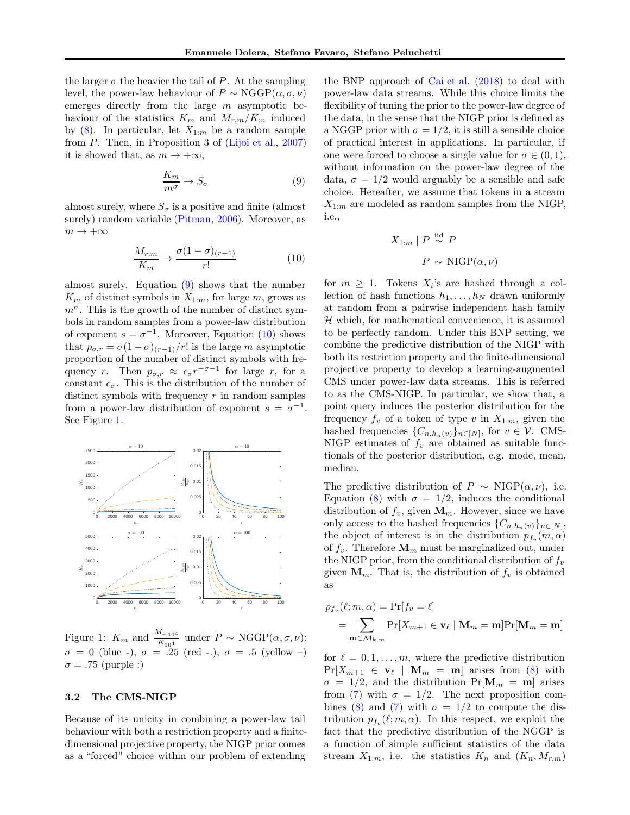the larger  $\sigma$  the heavier the tail of P. At the sampling level, the power-law behaviour of  $P \sim \text{NGGP}(\alpha, \sigma, \nu)$ emerges directly from the large  $m$  asymptotic behaviour of the statistics  $K_m$  and  $M_{r,m}/K_m$  induced by  $(8)$ . In particular, let  $X_{1:m}$  be a random sample from P. Then, in Proposition 3 of  $(Lijoi et al., 2007)$  $(Lijoi et al., 2007)$  $(Lijoi et al., 2007)$ it is showed that, as  $m \to +\infty$ ,

$$
\frac{K_m}{m^{\sigma}} \to S_{\sigma} \tag{9}
$$

almost surely, where  $S_{\sigma}$  is a positive and finite (almost surely) random variable [\(Pitman](#page-25-2), [2006\)](#page-25-2). Moreover, as  $m \to +\infty$ 

$$
\frac{M_{r,m}}{K_m} \to \frac{\sigma(1-\sigma)_{(r-1)}}{r!} \tag{10}
$$

almost surely. Equation [\(9\)](#page-4-0) shows that the number  $K_m$  of distinct symbols in  $X_{1:m}$ , for large m, grows as  $m^{\sigma}$ . This is the growth of the number of distinct symbols in random samples from a power-law distribution of exponent  $s = \sigma^{-1}$ . Moreover, Equation [\(10\)](#page-4-1) shows that  $p_{\sigma,r} = \sigma(1-\sigma)_{(r-1)}/r!$  is the large m asymptotic proportion of the number of distinct symbols with frequency r. Then  $p_{\sigma,r} \approx c_{\sigma} r^{-\sigma-1}$  for large r, for a constant  $c_{\sigma}$ . This is the distribution of the number of distinct symbols with frequency  $r$  in random samples from a power-law distribution of exponent  $s = \sigma^{-1}$ . See Figure [1.](#page-4-2)



<span id="page-4-2"></span>Figure 1:  $K_m$  and  $\frac{M_{r,10^4}}{K_{10^4}}$  under  $P \sim \text{NGGP}(\alpha, \sigma, \nu)$ :  $\sigma = 0$  (blue -),  $\sigma = 0$  (red -.),  $\sigma = 0.5$  (yellow -)  $\sigma = .75$  (purple :)

#### 3.2 The CMS-NIGP

Because of its unicity in combining a power-law tail behaviour with both a restriction property and a finitedimensional projective property, the NIGP prior comes as a "forced" choice within our problem of extending

<span id="page-4-0"></span>the BNP approach of [Cai et al.](#page-24-2) [\(2018](#page-24-2)) to deal with power-law data streams. While this choice limits the flexibility of tuning the prior to the power-law degree of the data, in the sense that the NIGP prior is defined as a NGGP prior with  $\sigma = 1/2$ , it is still a sensible choice of practical interest in applications. In particular, if one were forced to choose a single value for  $\sigma \in (0,1)$ , without information on the power-law degree of the data,  $\sigma = 1/2$  would arguably be a sensible and safe choice. Hereafter, we assume that tokens in a stream  $X_{1:m}$  are modeled as random samples from the NIGP, i.e.,

$$
X_{1:m} | P \stackrel{\text{iid}}{\sim} P
$$

$$
P \sim \text{NIGP}(\alpha, \nu)
$$

<span id="page-4-1"></span>for  $m \geq 1$ . Tokens  $X_i$ 's are hashed through a collection of hash functions  $h_1, \ldots, h_N$  drawn uniformly at random from a pairwise independent hash family  $H$  which, for mathematical convenience, it is assumed to be perfectly random. Under this BNP setting, we combine the predictive distribution of the NIGP with both its restriction property and the finite-dimensional projective property to develop a learning-augmented CMS under power-law data streams. This is referred to as the CMS-NIGP. In particular, we show that, a point query induces the posterior distribution for the frequency  $f_v$  of a token of type v in  $X_{1:m}$ , given the hashed frequencies  $\{C_{n,h_n(v)}\}_{n\in[N]}$ , for  $v \in V$ . CMS-NIGP estimates of  $f_v$  are obtained as suitable functionals of the posterior distribution, e.g. mode, mean, median.

The predictive distribution of  $P \sim \text{NIGP}(\alpha, \nu)$ , i.e. Equation [\(8\)](#page-3-1) with  $\sigma = 1/2$ , induces the conditional distribution of  $f_v$ , given  $\mathbf{M}_m$ . However, since we have only access to the hashed frequencies  $\{C_{n,h_n(v)}\}_{n\in[N]},$ the object of interest is in the distribution  $p_{f_v}(m, \alpha)$ of  $f_v$ . Therefore  $\mathbf{M}_m$  must be marginalized out, under the NIGP prior, from the conditional distribution of  $f_v$ given  $M_m$ . That is, the distribution of  $f_v$  is obtained as

$$
p_{f_v}(\ell; m, \alpha) = \Pr[f_v = \ell]
$$
  
= 
$$
\sum_{\mathbf{m} \in \mathcal{M}_{k,m}} \Pr[X_{m+1} \in \mathbf{v}_{\ell} \mid \mathbf{M}_m = \mathbf{m}] \Pr[\mathbf{M}_m = \mathbf{m}]
$$

for  $\ell = 0, 1, \ldots, m$ , where the predictive distribution  $Pr[X_{m+1} \in \mathbf{v}_{\ell} \mid \mathbf{M}_m = \mathbf{m}]$  arises from [\(8\)](#page-3-1) with  $\sigma = 1/2$ , and the distribution  $Pr[\mathbf{M}_m = \mathbf{m}]$  arises from [\(7\)](#page-3-2) with  $\sigma = 1/2$ . The next proposition com-bines [\(8\)](#page-3-1) and [\(7\)](#page-3-2) with  $\sigma = 1/2$  to compute the distribution  $p_{f_v}(\ell; m, \alpha)$ . In this respect, we exploit the fact that the predictive distribution of the NGGP is a function of simple sufficient statistics of the data stream  $X_{1:m}$ , i.e. the statistics  $K_n$  and  $(K_n, M_{r,m})$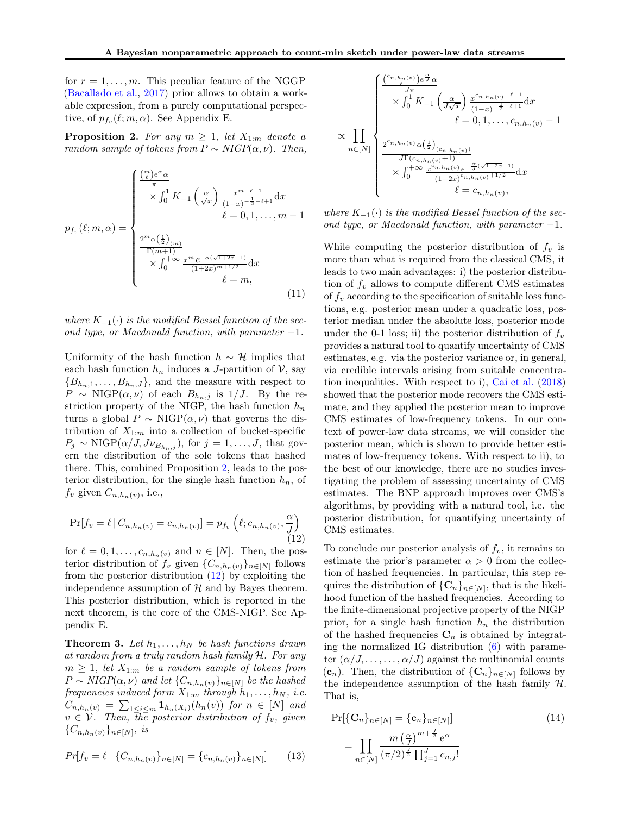for  $r = 1, \ldots, m$ . This peculiar feature of the NGGP [\(Bacallado et al.,](#page-9-10) [2017\)](#page-9-10) prior allows to obtain a workable expression, from a purely computational perspective, of  $p_{f_v}(\ell; m, \alpha)$ . See Appendix E.

**Proposition 2.** For any  $m \geq 1$ , let  $X_{1:m}$  denote a random sample of tokens from  $P \sim NIGP(\alpha, \nu)$ . Then,

$$
p_{f_v}(\ell;m,\alpha) = \begin{cases} \frac{\left(\frac{m}{\ell}\right)e^{\alpha}\alpha}{\pi} & \\\ \times \int_0^1 K_{-1}\left(\frac{\alpha}{\sqrt{x}}\right) \frac{x^{m-\ell-1}}{(1-x)^{-\frac{1}{2}-\ell+1}} dx\\ \ell=0,1,\ldots,m-1\\ \frac{2^m\alpha\left(\frac{1}{2}\right)_{(m)}}{\Gamma(m+1)} & \\\times \int_0^{+\infty} \frac{x^m e^{-\alpha(\sqrt{1+2x}-1)}}{(1+2x)^{m+1/2}} dx\\ \ell=m, \end{cases} \tag{11}
$$

where  $K_{-1}(\cdot)$  is the modified Bessel function of the second type, or Macdonald function, with parameter  $-1$ .

Uniformity of the hash function  $h \sim \mathcal{H}$  implies that each hash function  $h_n$  induces a J-partition of  $\mathcal{V}$ , say  ${B_{h_n,1}, \ldots, B_{h_n,J}}$ , and the measure with respect to  $P \sim \text{NIGP}(\alpha, \nu)$  of each  $B_{h_n,j}$  is  $1/J$ . By the restriction property of the NIGP, the hash function  $h_n$ turns a global  $P \sim \text{NIGP}(\alpha, \nu)$  that governs the distribution of  $X_{1:m}$  into a collection of bucket-specific  $P_j \sim \text{NIGP}(\alpha/J, J\nu_{B_{h_n,j}})$ , for  $j = 1, \ldots, J$ , that govern the distribution of the sole tokens that hashed there. This, combined Proposition [2,](#page-19-0) leads to the posterior distribution, for the single hash function  $h_n$ , of  $f_v$  given  $C_{n,h_n(v)}$ , i.e.,

<span id="page-5-0"></span>
$$
\Pr[f_v = \ell \, | \, C_{n,h_n(v)} = c_{n,h_n(v)}] = p_{f_v} \left( \ell; c_{n,h_n(v)}, \frac{\alpha}{J} \right)
$$
\n(12)

for  $\ell = 0, 1, \ldots, c_{n,h_n(v)}$  and  $n \in [N]$ . Then, the posterior distribution of  $f_v$  given  $\{C_{n,h_n(v)}\}_{n\in[N]}$  follows from the posterior distribution  $(12)$  by exploiting the independence assumption of  $H$  and by Bayes theorem. This posterior distribution, which is reported in the next theorem, is the core of the CMS-NIGP. See Appendix E.

**Theorem 3.** Let  $h_1, \ldots, h_N$  be hash functions drawn at random from a truly random hash family H. For any  $m \geq 1$ , let  $X_{1:m}$  be a random sample of tokens from  $P \sim NIGP(\alpha, \nu)$  and let  $\{C_{n,h_n(\nu)}\}_{n \in [N]}$  be the hashed frequencies induced form  $X_{1:m}$  through  $h_1, \ldots, h_N$ , i.e.  $C_{n,h_n(v)} = \sum_{1 \leq i \leq m} \mathbf{1}_{h_n(X_i)}(h_n(v))$  for  $n \in [N]$  and  $v \in \mathcal{V}$ . Then, the posterior distribution of  $f_v$ , given  $\{C_{n,h_n(v)}\}_{n\in[N]},\;is$ 

$$
Pr[f_v = \ell \mid \{C_{n,h_n(v)}\}_{n \in [N]} = \{c_{n,h_n(v)}\}_{n \in [N]}]
$$
(13)

$$
\propto \prod_{n\in[N]} \left\{ \frac{\sum_{j=1}^{c_{n,h_n(v)}} e^{\frac{\pi}{J}\alpha}}{2^{c_{n,h_n(v)}}\alpha(\frac{1}{J\sqrt{x}})\sum_{j=1}^{c_{n,h_n(v)}-\ell-1} dx} \right. \\ \left. \times \prod_{n\in[N]} \left\{ \frac{2^{c_{n,h_n(v)}}\alpha(\frac{1}{2})_{(c_{n,h_n(v)})}}{J\Gamma(c_{n,h_n(v)}+1)} \right. \\ \times \int_0^{+\infty} \frac{x^{c_{n,h_n(v)}}e^{-\frac{\alpha}{J}(\sqrt{1+2x}-1)}}{(1+2x)^{c_{n,h_n(v)}+1/2}} dx \right. \\ \left. \left. \times \int_0^{+\infty} \frac{x^{c_{n,h_n(v)}}e^{-\frac{\alpha}{J}(\sqrt{1+2x}-1)}}{1+2x)^{c_{n,h_n(v)}+1/2}} dx \right. \right. \\ \left. \left. \times \int_0^{+\infty} e^{-c_{n,h_n(v)}},
$$

where  $K_{-1}(\cdot)$  is the modified Bessel function of the second type, or Macdonald function, with parameter  $-1$ .

While computing the posterior distribution of  $f_v$  is more than what is required from the classical CMS, it leads to two main advantages: i) the posterior distribution of  $f_v$  allows to compute different CMS estimates of  $f_v$  according to the specification of suitable loss functions, e.g. posterior mean under a quadratic loss, posterior median under the absolute loss, posterior mode under the 0-1 loss; ii) the posterior distribution of  $f_v$ provides a natural tool to quantify uncertainty of CMS estimates, e.g. via the posterior variance or, in general, via credible intervals arising from suitable concentration inequalities. With respect to i), [Cai et al.](#page-24-2) [\(2018](#page-24-2)) showed that the posterior mode recovers the CMS estimate, and they applied the posterior mean to improve CMS estimates of low-frequency tokens. In our context of power-law data streams, we will consider the posterior mean, which is shown to provide better estimates of low-frequency tokens. With respect to ii), to the best of our knowledge, there are no studies investigating the problem of assessing uncertainty of CMS estimates. The BNP approach improves over CMS's algorithms, by providing with a natural tool, i.e. the posterior distribution, for quantifying uncertainty of CMS estimates.

To conclude our posterior analysis of  $f_v$ , it remains to estimate the prior's parameter  $\alpha > 0$  from the collection of hashed frequencies. In particular, this step requires the distribution of  ${C_n}_{n \in [N]}$ , that is the likelihood function of the hashed frequencies. According to the finite-dimensional projective property of the NIGP prior, for a single hash function  $h_n$  the distribution of the hashed frequencies  $\mathbf{C}_n$  is obtained by integrating the normalized IG distribution  $(6)$  with parameter  $(\alpha/J, \ldots, \ldots, \alpha/J)$  against the multinomial counts  $(c_n)$ . Then, the distribution of  $\{C_n\}_{n\in[N]}$  follows by the independence assumption of the hash family  $H$ . That is,

<span id="page-5-2"></span><span id="page-5-1"></span>
$$
\Pr[\{C_n\}_{n \in [N]} = \{c_n\}_{n \in [N]}]
$$
\n
$$
= \prod_{n \in [N]} \frac{m\left(\frac{\alpha}{J}\right)^{m + \frac{J}{2}} e^{\alpha}}{\left(\pi/2\right)^{\frac{J}{2}} \prod_{j=1}^{J} c_{n,j}!}
$$
\n(14)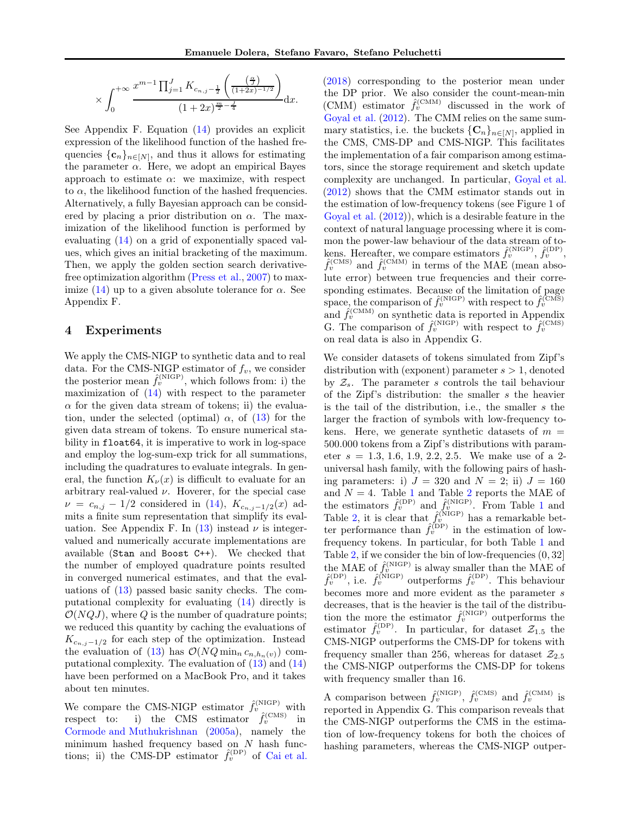$$
\times \int_0^{+\infty} \frac{x^{m-1} \prod_{j=1}^J K_{c_{n,j}-\frac{1}{2}}\left(\frac{\left(\frac{\alpha}{J}\right)}{(1+2x)^{-1/2}}\right)}{(1+2x)^{\frac{m}{2}-\frac{J}{4}}} \mathrm{d}x.
$$

See Appendix F. Equation [\(14\)](#page-5-1) provides an explicit expression of the likelihood function of the hashed frequencies  $\{c_n\}_{n\in[N]}$ , and thus it allows for estimating the parameter  $\alpha$ . Here, we adopt an empirical Bayes approach to estimate  $\alpha$ : we maximize, with respect to  $\alpha$ , the likelihood function of the hashed frequencies. Alternatively, a fully Bayesian approach can be considered by placing a prior distribution on  $\alpha$ . The maximization of the likelihood function is performed by evaluating [\(14\)](#page-5-1) on a grid of exponentially spaced values, which gives an initial bracketing of the maximum. Then, we apply the golden section search derivativefree optimization algorithm [\(Press et al.,](#page-9-11) [2007\)](#page-9-11) to max-imize [\(14\)](#page-5-1) up to a given absolute tolerance for  $\alpha$ . See Appendix F.

#### <span id="page-6-0"></span>4 Experiments

We apply the CMS-NIGP to synthetic data and to real data. For the CMS-NIGP estimator of  $f_v$ , we consider the posterior mean  $\hat{f}_v^{(\text{NIGP})}$ , which follows from: i) the maximization of  $(14)$  with respect to the parameter  $\alpha$  for the given data stream of tokens; ii) the evaluation, under the selected (optimal)  $\alpha$ , of [\(13\)](#page-5-2) for the given data stream of tokens. To ensure numerical stability in float64, it is imperative to work in log-space and employ the log-sum-exp trick for all summations, including the quadratures to evaluate integrals. In general, the function  $K_{\nu}(x)$  is difficult to evaluate for an arbitrary real-valued  $\nu$ . Hoverer, for the special case  $\nu = c_{n,j} - 1/2$  considered in [\(14\)](#page-5-1),  $K_{c_{n,j}-1/2}(x)$  admits a finite sum representation that simplify its eval-uation. See Appendix F. In [\(13\)](#page-5-2) instead  $\nu$  is integervalued and numerically accurate implementations are available (Stan and Boost C++). We checked that the number of employed quadrature points resulted in converged numerical estimates, and that the evaluations of  $(13)$  passed basic sanity checks. The computational complexity for evaluating [\(14\)](#page-5-1) directly is  $\mathcal{O}(NQJ)$ , where Q is the number of quadrature points; we reduced this quantity by caching the evaluations of  $K_{c_{n,j}-1/2}$  for each step of the optimization. Instead the evaluation of [\(13\)](#page-5-2) has  $\mathcal{O}(NQ \min_n c_{n,h_n(v)})$  computational complexity. The evaluation of  $(13)$  and  $(14)$ have been performed on a MacBook Pro, and it takes about ten minutes.

We compare the CMS-NIGP estimator  $\hat{f}_v^{(\text{NIGP})}$  with respect to: i) the CMS estimator  $\hat{f}_v^{(\text{CMS})}$  in [Cormode and Muthukrishnan](#page-24-1) [\(2005a\)](#page-24-1), namely the minimum hashed frequency based on  $N$  hash functions; ii) the CMS-DP estimator  $\hat{f}_v^{(DP)}$  of [Cai et al.](#page-24-2) [\(2018\)](#page-24-2) corresponding to the posterior mean under the DP prior. We also consider the count-mean-min (CMM) estimator  $\hat{f}_v^{(\text{CMM})}$  discussed in the work of [Goyal et al.](#page-9-8) [\(2012](#page-9-8)). The CMM relies on the same summary statistics, i.e. the buckets  ${C_n}_{n\in[N]}$ , applied in the CMS, CMS-DP and CMS-NIGP. This facilitates the implementation of a fair comparison among estimators, since the storage requirement and sketch update complexity are unchanged. In particular, [Goyal et al.](#page-9-8) [\(2012\)](#page-9-8) shows that the CMM estimator stands out in the estimation of low-frequency tokens (see Figure 1 of [Goyal et al.](#page-9-8) [\(2012](#page-9-8))), which is a desirable feature in the context of natural language processing where it is common the power-law behaviour of the data stream of tokens. Hereafter, we compare estimators  $\hat{f}_v^{(\text{NIGP})}, \hat{f}_v^{(\text{DP})}$ ,  $\hat{f}_v^{(\text{CMS})}$  and  $\hat{f}_v^{(\text{CMM})}$  in terms of the MAE (mean absolute error) between true frequencies and their corresponding estimates. Because of the limitation of page space, the comparison of  $\hat{f}_v^{(\text{NIGP})}$  with respect to  $\hat{f}_v^{(\text{CMS})}$ and  $\hat{f}_v^{(\text{CMM})}$  on synthetic data is reported in Appendix G. The comparison of  $\hat{f}_v^{\text{(NIGP)}}$  with respect to  $\hat{f}_v^{\text{(CMS)}}$ on real data is also in Appendix G.

We consider datasets of tokens simulated from Zipf's distribution with (exponent) parameter  $s > 1$ , denoted by  $\mathcal{Z}_s$ . The parameter s controls the tail behaviour of the Zipf's distribution: the smaller s the heavier is the tail of the distribution, i.e., the smaller s the larger the fraction of symbols with low-frequency tokens. Here, we generate synthetic datasets of  $m =$ 500.000 tokens from a Zipf's distributions with parameter  $s = 1.3, 1.6, 1.9, 2.2, 2.5$ . We make use of a 2universal hash family, with the following pairs of hashing parameters: i)  $J = 320$  and  $N = 2$ ; ii)  $J = 160$ and  $N = 4$ . Table [1](#page-26-0) and Table [2](#page-27-0) reports the MAE of the estimators  $\hat{f}_v^{(\text{DP})}$  and  $\hat{f}_v^{(\text{NIGP})}$ . From Table [1](#page-26-0) and Table [2,](#page-27-0) it is clear that  $\hat{f}_v^{(\text{NIGP})}$  has a remarkable better performance than  $\hat{f}_v^{(DP)}$  in the estimation of lowfrequency tokens. In particular, for both Table [1](#page-26-0) and Table [2,](#page-27-0) if we consider the bin of low-frequencies (0, 32] the MAE of  $\hat{f}_v^{\text{(NIGP)}}$  is alway smaller than the MAE of  $\hat{f}_v^{(DP)}$ , i.e.  $\hat{f}_v^{(NIGP)}$  outperforms  $\hat{f}_v^{(DP)}$ . This behaviour becomes more and more evident as the parameter s decreases, that is the heavier is the tail of the distribution the more the estimator  $\hat{f}_v^{(\text{NIGP})}$  outperforms the estimator  $\hat{f}_v^{(DP)}$ . In particular, for dataset  $\mathcal{Z}_{1.5}$  the CMS-NIGP outperforms the CMS-DP for tokens with frequency smaller than 256, whereas for dataset  $\mathcal{Z}_{2.5}$ the CMS-NIGP outperforms the CMS-DP for tokens with frequency smaller than 16.

A comparison between  $\hat{f}_v^{(\text{NIGP})}$ ,  $\hat{f}_v^{(\text{CMS})}$  and  $\hat{f}_v^{(\text{CMM})}$  is reported in Appendix G. This comparison reveals that the CMS-NIGP outperforms the CMS in the estimation of low-frequency tokens for both the choices of hashing parameters, whereas the CMS-NIGP outper-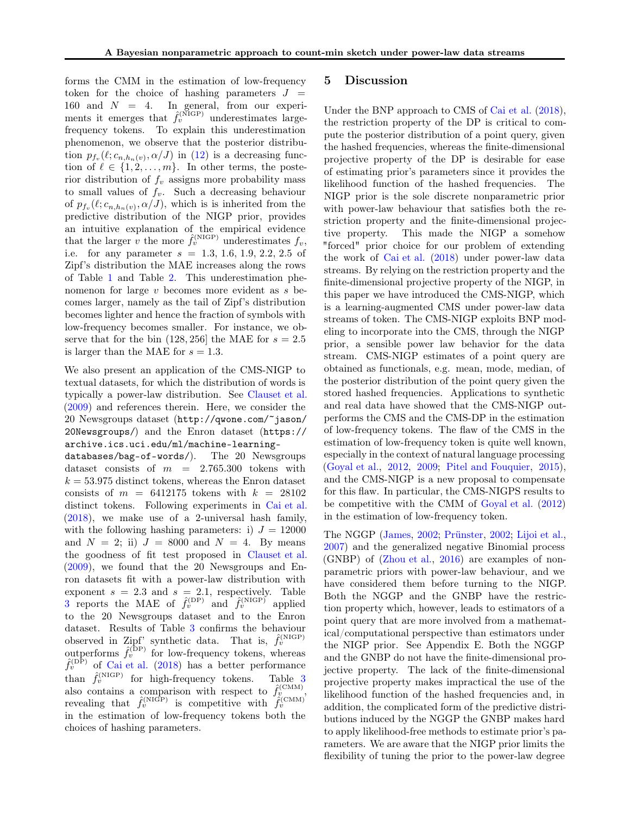forms the CMM in the estimation of low-frequency token for the choice of hashing parameters  $J =$ 160 and  $N = 4$ . In general, from our experiments it emerges that  $\hat{f}_v^{(\text{NIGP})}$  underestimates largefrequency tokens. To explain this underestimation phenomenon, we observe that the posterior distribution  $p_{f_v}(\ell; c_{n,h_n(v)}, \alpha/J)$  in [\(12\)](#page-5-0) is a decreasing function of  $\ell \in \{1, 2, ..., m\}$ . In other terms, the posterior distribution of  $f_v$  assigns more probability mass to small values of  $f_v$ . Such a decreasing behaviour of  $p_{f_v}(\ell; c_{n,h_n(v)}, \alpha/J)$ , which is is inherited from the predictive distribution of the NIGP prior, provides an intuitive explanation of the empirical evidence that the larger v the more  $\hat{f}_v^{\text{(NIGP)}}$  underestimates  $f_v$ , i.e. for any parameter  $s = 1.3, 1.6, 1.9, 2.2, 2.5$  of Zipf's distribution the MAE increases along the rows of Table [1](#page-26-0) and Table [2.](#page-27-0) This underestimation phenomenon for large v becomes more evident as s becomes larger, namely as the tail of Zipf's distribution becomes lighter and hence the fraction of symbols with low-frequency becomes smaller. For instance, we observe that for the bin  $(128, 256)$  the MAE for  $s = 2.5$ is larger than the MAE for  $s = 1.3$ .

We also present an application of the CMS-NIGP to textual datasets, for which the distribution of words is typically a power-law distribution. See [Clauset et al.](#page-9-7) [\(2009\)](#page-9-7) and references therein. Here, we consider the 20 Newsgroups dataset ([http://qwone.com/~jason/](http://qwone.com/~jason/20Newsgroups/) [20Newsgroups/](http://qwone.com/~jason/20Newsgroups/)) and the Enron dataset ([https://](https://archive.ics.uci.edu/ml/machine-learning-databases/bag-of-words/) [archive.ics.uci.edu/ml/machine-learning-](https://archive.ics.uci.edu/ml/machine-learning-databases/bag-of-words/)

[databases/bag-of-words/](https://archive.ics.uci.edu/ml/machine-learning-databases/bag-of-words/)). The 20 Newsgroups dataset consists of  $m = 2.765.300$  tokens with  $k = 53.975$  distinct tokens, whereas the Enron dataset consists of  $m = 6412175$  tokens with  $k = 28102$ distinct tokens. Following experiments in [Cai et al.](#page-24-2) [\(2018\)](#page-24-2), we make use of a 2-universal hash family, with the following hashing parameters: i)  $J = 12000$ and  $N = 2$ ; ii)  $J = 8000$  and  $N = 4$ . By means the goodness of fit test proposed in [Clauset et al.](#page-9-7) [\(2009\)](#page-9-7), we found that the 20 Newsgroups and Enron datasets fit with a power-law distribution with exponent  $s = 2.3$  and  $s = 2.1$ , respectively. Table [3](#page-28-0) reports the MAE of  $\hat{f}_v^{(DP)}$  and  $\hat{f}_v^{(NIGP)}$  applied to the 20 Newsgroups dataset and to the Enron dataset. Results of Table [3](#page-28-0) confirms the behaviour observed in Zipf' synthetic data. That is,  $\hat{f}_v^{(NIGP)}$  outperforms  $\hat{f}_v^{(DP)}$  for low-frequency tokens, whereas  $\hat{f}_v^{(DP)}$  of [Cai et al.](#page-24-2) [\(2018](#page-24-2)) has a better performance than  $\hat{f}_v^{(NIGP)}$  for high-frequency tokens. Table [3](#page-28-0) also contains a comparison with respect to  $\hat{f}_{v}^{(\text{CMM})}$ , revealing that  $\hat{f}_v^{(\text{NIGP})}$  is competitive with  $\hat{f}_v^{(\text{CMM})}$ in the estimation of low-frequency tokens both the choices of hashing parameters.

#### <span id="page-7-0"></span>5 Discussion

Under the BNP approach to CMS of [Cai et al.](#page-24-2) [\(2018\)](#page-24-2), the restriction property of the DP is critical to compute the posterior distribution of a point query, given the hashed frequencies, whereas the finite-dimensional projective property of the DP is desirable for ease of estimating prior's parameters since it provides the likelihood function of the hashed frequencies. The NIGP prior is the sole discrete nonparametric prior with power-law behaviour that satisfies both the restriction property and the finite-dimensional projective property. This made the NIGP a somehow "forced" prior choice for our problem of extending the work of [Cai et al.](#page-24-2) [\(2018](#page-24-2)) under power-law data streams. By relying on the restriction property and the finite-dimensional projective property of the NIGP, in this paper we have introduced the CMS-NIGP, which is a learning-augmented CMS under power-law data streams of token. The CMS-NIGP exploits BNP modeling to incorporate into the CMS, through the NIGP prior, a sensible power law behavior for the data stream. CMS-NIGP estimates of a point query are obtained as functionals, e.g. mean, mode, median, of the posterior distribution of the point query given the stored hashed frequencies. Applications to synthetic and real data have showed that the CMS-NIGP outperforms the CMS and the CMS-DP in the estimation of low-frequency tokens. The flaw of the CMS in the estimation of low-frequency token is quite well known, especially in the context of natural language processing [\(Goyal et al.](#page-9-8), [2012,](#page-9-8) [2009;](#page-9-2) [Pitel and Fouquier](#page-9-9), [2015\)](#page-9-9), and the CMS-NIGP is a new proposal to compensate for this flaw. In particular, the CMS-NIGPS results to be competitive with the CMM of [Goyal et al.](#page-9-8) [\(2012](#page-9-8)) in the estimation of low-frequency token.

The NGGP [\(James](#page-24-4), [2002;](#page-24-4) [Prünster,](#page-25-0) [2002](#page-25-0); [Lijoi et al.,](#page-24-7) [2007\)](#page-24-7) and the generalized negative Binomial process (GNBP) of (Zhou et al., 2016) are examples of nonparametric priors with power-law behaviour, and we have considered them before turning to the NIGP. Both the NGGP and the GNBP have the restriction property which, however, leads to estimators of a point query that are more involved from a mathematical/computational perspective than estimators under the NIGP prior. See Appendix E. Both the NGGP and the GNBP do not have the finite-dimensional projective property. The lack of the finite-dimensional projective property makes impractical the use of the likelihood function of the hashed frequencies and, in addition, the complicated form of the predictive distributions induced by the NGGP the GNBP makes hard to apply likelihood-free methods to estimate prior's parameters. We are aware that the NIGP prior limits the flexibility of tuning the prior to the power-law degree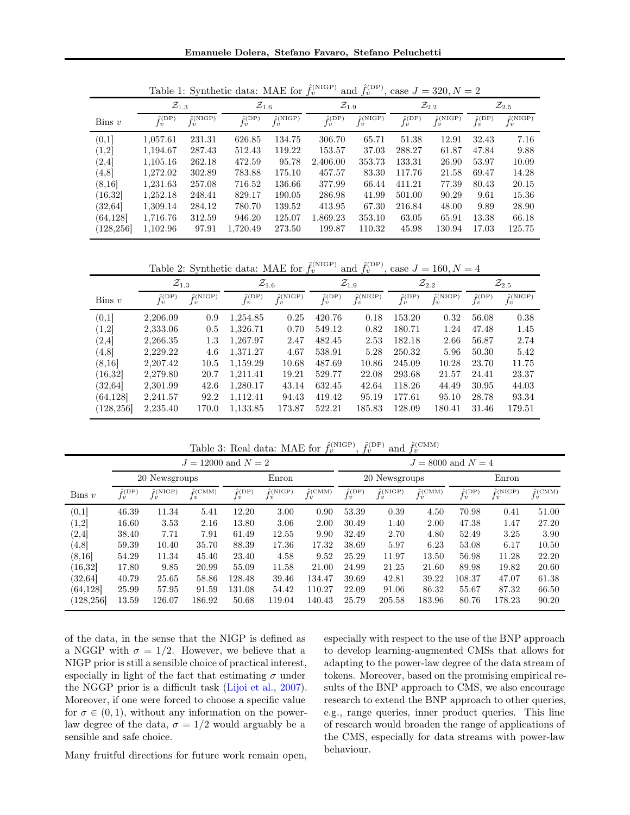|            | $\mathcal{Z}_{1.3}$       |                              | $\mathcal{Z}_{1.6}$                  |                                    | $\mathcal{Z}_{1.9}$                   |                              | $\mathcal{Z}_{2.2}$       |                                       | $\mathcal{Z}_{2.5}$       |                              |
|------------|---------------------------|------------------------------|--------------------------------------|------------------------------------|---------------------------------------|------------------------------|---------------------------|---------------------------------------|---------------------------|------------------------------|
| $\lim v$   | $\hat{f}_v^{(\text{DP})}$ | $\hat{f}(\text{NIGP})$<br>Jv | $\hat{f}(\text{DP})$<br>$\mathbf{1}$ | $\hat{r}$ (NIGP)<br>$\overline{u}$ | $\hat{f}(\text{DP})$<br>$\mathbf{1}v$ | $\hat{f}(\text{NIGP})$<br>Jv | $\hat{f}_v^{(\text{DP})}$ | $\hat{f}(\text{NIGP})$<br>$\lrcorner$ | $\hat{f}_v^{(\text{DP})}$ | $\hat{f}(\text{NIGP})$<br>Jv |
| (0,1]      | 1,057.61                  | 231.31                       | 626.85                               | 134.75                             | 306.70                                | 65.71                        | 51.38                     | 12.91                                 | 32.43                     | 7.16                         |
| (1,2]      | 1,194.67                  | 287.43                       | 512.43                               | 119.22                             | 153.57                                | 37.03                        | 288.27                    | 61.87                                 | 47.84                     | 9.88                         |
| (2, 4]     | 1,105.16                  | 262.18                       | 472.59                               | 95.78                              | 2,406.00                              | 353.73                       | 133.31                    | 26.90                                 | 53.97                     | 10.09                        |
| (4, 8]     | 1,272.02                  | 302.89                       | 783.88                               | 175.10                             | 457.57                                | 83.30                        | 117.76                    | 21.58                                 | 69.47                     | 14.28                        |
| (8, 16)    | 1,231.63                  | 257.08                       | 716.52                               | 136.66                             | 377.99                                | 66.44                        | 411.21                    | 77.39                                 | 80.43                     | 20.15                        |
| (16, 32)   | 1,252.18                  | 248.41                       | 829.17                               | 190.05                             | 286.98                                | 41.99                        | 501.00                    | 90.29                                 | 9.61                      | 15.36                        |
| (32, 64)   | 1,309.14                  | 284.12                       | 780.70                               | 139.52                             | 413.95                                | 67.30                        | 216.84                    | 48.00                                 | 9.89                      | 28.90                        |
| (64, 128)  | 1,716.76                  | 312.59                       | 946.20                               | 125.07                             | 1,869.23                              | 353.10                       | 63.05                     | 65.91                                 | 13.38                     | 66.18                        |
| (128, 256) | 1,102.96                  | 97.91                        | 1,720.49                             | 273.50                             | 199.87                                | 110.32                       | 45.98                     | 130.94                                | 17.03                     | 125.75                       |

Table 1: Synthetic data: MAE for  $\hat{f}_v^{(NIGP)}$  and  $\hat{f}_v^{(DP)}$ , case  $J = 320, N = 2$ 

Table 2: Synthetic data: MAE for  $\hat{f}_v^{\text{(NIGP)}}$  and  $\hat{f}_v^{\text{(DP)}},$  case  $J = 160, N = 4$ 

|                      | $\mathcal{Z}_{1.3}$       |                                 | $\mathcal{Z}_{1.6}$  |                                 |                           | $\mathcal{Z}_{1.9}$         |                                      | $\mathcal{Z}_{2.2}$          | $\mathcal{Z}_{2.5}$    |                        |
|----------------------|---------------------------|---------------------------------|----------------------|---------------------------------|---------------------------|-----------------------------|--------------------------------------|------------------------------|------------------------|------------------------|
| $\lim v$             | $\hat{f}_v^{(\text{DP})}$ | $\hat{r}$ (NIGP)<br>$\lrcorner$ | $\hat{f}(\text{DP})$ | $\hat{r}$ (NIGP)<br>$\lrcorner$ | $\hat{f}_v^{(\text{DP})}$ | $\hat{f}_v^{\text{(NIGP)}}$ | $\hat{f}(\text{DP})$<br>$\mathbf{v}$ | $\hat{f}(\text{NIGP})$<br>Jυ | $\hat{f}_v^{\rm (DP)}$ | $\hat{r}$ (NIGP)<br>Jυ |
| (0,1]                | 2,206.09                  | 0.9                             | 1,254.85             | 0.25                            | 420.76                    | 0.18                        | 153.20                               | 0.32                         | 56.08                  | 0.38                   |
| (1,2]                | 2,333.06                  | 0.5                             | 1.326.71             | 0.70                            | 549.12                    | 0.82                        | 180.71                               | 1.24                         | 47.48                  | 1.45                   |
| (2, 4]               | 2,266.35                  | $1.3\,$                         | 1,267.97             | 2.47                            | 482.45                    | 2.53                        | 182.18                               | 2.66                         | 56.87                  | 2.74                   |
| (4, 8)               | 2.229.22                  | 4.6                             | 1.371.27             | 4.67                            | 538.91                    | 5.28                        | 250.32                               | 5.96                         | 50.30                  | 5.42                   |
| (8,16)               | 2.207.42                  | 10.5                            | 1.159.29             | 10.68                           | 487.69                    | 10.86                       | 245.09                               | 10.28                        | 23.70                  | 11.75                  |
| $\left(16.32\right]$ | 2,279.80                  | 20.7                            | 1.211.41             | 19.21                           | 529.77                    | 22.08                       | 293.68                               | 21.57                        | 24.41                  | 23.37                  |
| (32.64)              | 2,301.99                  | 42.6                            | 1.280.17             | 43.14                           | 632.45                    | 42.64                       | 118.26                               | 44.49                        | 30.95                  | 44.03                  |
| (64, 128)            | 2,241.57                  | 92.2                            | 1.112.41             | 94.43                           | 419.42                    | 95.19                       | 177.61                               | 95.10                        | 28.78                  | 93.34                  |
| (128, 256)           | 2,235.40                  | 170.0                           | 1,133.85             | 173.87                          | 522.21                    | 185.83                      | 128.09                               | 180.41                       | 31.46                  | 179.51                 |

Table 3: Real data: MAE for  $\hat{f}_v^{(\text{NIGP})}$ ,  $\hat{f}_v^{(\text{DP})}$  and  $\hat{f}_v^{(\text{CMM})}$ 

|            |                            |                              | $J = 12000$ and $N = 2$             |                           |                                      |                         | $J = 8000$ and $N = 4$     |                                      |                                     |                                    |                                      |                               |
|------------|----------------------------|------------------------------|-------------------------------------|---------------------------|--------------------------------------|-------------------------|----------------------------|--------------------------------------|-------------------------------------|------------------------------------|--------------------------------------|-------------------------------|
|            | 20 Newsgroups              |                              |                                     | Enron                     |                                      |                         | 20 Newsgroups              |                                      |                                     | Enron                              |                                      |                               |
| $\lim v$   | $\hat{f}(\text{DP})$<br>Ιv | $\hat{f}(\text{NIGP})$<br>Jv | $\hat{f}(\text{CMM})$<br>$I\dot{v}$ | $\hat{f}_v^{(\text{DP})}$ | $\hat{f}(\text{NIGP})$<br>$J\dot{v}$ | $\hat{f}_v^{\rm (CMM)}$ | $\hat{f}(\text{DP})$<br>Jύ | $\hat{f}(\text{NIGP})$<br>$I\dot{v}$ | $\hat{f}(\text{CMM})$<br>$J\dot{v}$ | $\hat{f}(\text{DP})$<br>$J\dot{v}$ | $\hat{f}(\text{NIGP})$<br>$J\dot{v}$ | $\hat{f}$ (CMM)<br>$J\dot{v}$ |
| (0,1]      | 46.39                      | 11.34                        | 5.41                                | 12.20                     | 3.00                                 | 0.90                    | 53.39                      | 0.39                                 | 4.50                                | 70.98                              | 0.41                                 | 51.00                         |
| (1,2]      | 16.60                      | 3.53                         | 2.16                                | 13.80                     | 3.06                                 | 2.00                    | 30.49                      | 1.40                                 | 2.00                                | 47.38                              | 1.47                                 | 27.20                         |
| (2, 4]     | 38.40                      | 7.71                         | 7.91                                | 61.49                     | 12.55                                | 9.90                    | 32.49                      | 2.70                                 | 4.80                                | 52.49                              | 3.25                                 | 3.90                          |
| (4, 8)     | 59.39                      | 10.40                        | 35.70                               | 88.39                     | 17.36                                | 17.32                   | 38.69                      | 5.97                                 | 6.23                                | 53.08                              | 6.17                                 | 10.50                         |
| (8, 16)    | 54.29                      | 11.34                        | 45.40                               | 23.40                     | 4.58                                 | 9.52                    | 25.29                      | 11.97                                | 13.50                               | 56.98                              | 11.28                                | 22.20                         |
| (16, 32)   | 17.80                      | 9.85                         | 20.99                               | 55.09                     | 11.58                                | 21.00                   | 24.99                      | 21.25                                | 21.60                               | 89.98                              | 19.82                                | 20.60                         |
| (32, 64)   | 40.79                      | 25.65                        | 58.86                               | 128.48                    | 39.46                                | 134.47                  | 39.69                      | 42.81                                | 39.22                               | 108.37                             | 47.07                                | 61.38                         |
| (64, 128)  | 25.99                      | 57.95                        | 91.59                               | 131.08                    | 54.42                                | 110.27                  | 22.09                      | 91.06                                | 86.32                               | 55.67                              | 87.32                                | 66.50                         |
| (128, 256) | 13.59                      | 126.07                       | 186.92                              | 50.68                     | 119.04                               | 140.43                  | 25.79                      | 205.58                               | 183.96                              | 80.76                              | 178.23                               | 90.20                         |

of the data, in the sense that the NIGP is defined as a NGGP with  $\sigma = 1/2$ . However, we believe that a NIGP prior is still a sensible choice of practical interest, especially in light of the fact that estimating  $\sigma$  under the NGGP prior is a difficult task [\(Lijoi et al.,](#page-24-7) [2007\)](#page-24-7). Moreover, if one were forced to choose a specific value for  $\sigma \in (0,1)$ , without any information on the powerlaw degree of the data,  $\sigma = 1/2$  would arguably be a sensible and safe choice.

especially with respect to the use of the BNP approach to develop learning-augmented CMSs that allows for adapting to the power-law degree of the data stream of tokens. Moreover, based on the promising empirical results of the BNP approach to CMS, we also encourage research to extend the BNP approach to other queries, e.g., range queries, inner product queries. This line of research would broaden the range of applications of the CMS, especially for data streams with power-law behaviour.

Many fruitful directions for future work remain open,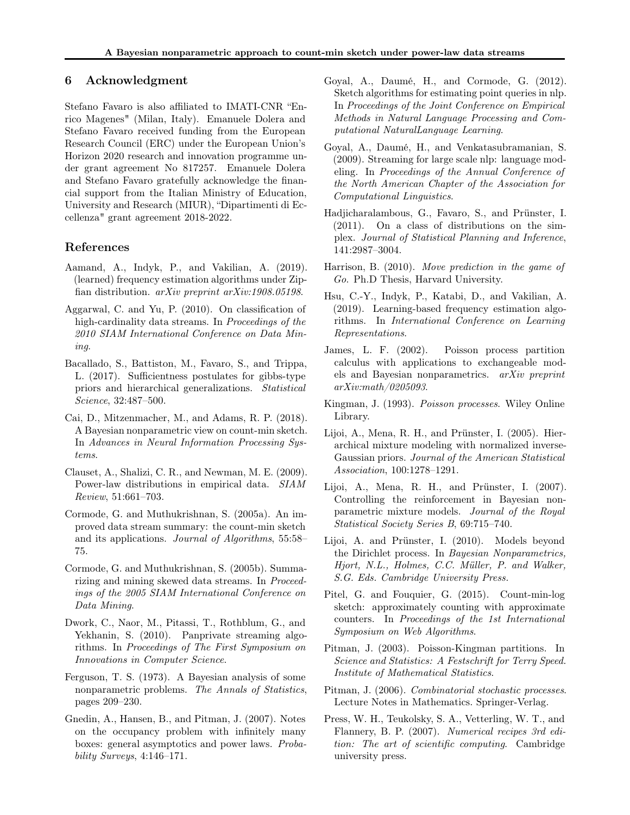#### 6 Acknowledgment

Stefano Favaro is also affiliated to IMATI-CNR "Enrico Magenes" (Milan, Italy). Emanuele Dolera and Stefano Favaro received funding from the European Research Council (ERC) under the European Union's Horizon 2020 research and innovation programme under grant agreement No 817257. Emanuele Dolera and Stefano Favaro gratefully acknowledge the financial support from the Italian Ministry of Education, University and Research (MIUR), "Dipartimenti di Eccellenza" grant agreement 2018-2022.

## References

- <span id="page-9-4"></span>Aamand, A., Indyk, P., and Vakilian, A. (2019). (learned) frequency estimation algorithms under Zipfian distribution. arXiv preprint arXiv:1908.05198.
- <span id="page-9-0"></span>Aggarwal, C. and Yu, P. (2010). On classification of high-cardinality data streams. In Proceedings of the 2010 SIAM International Conference on Data Mining.
- <span id="page-9-10"></span>Bacallado, S., Battiston, M., Favaro, S., and Trippa, L. (2017). Sufficientness postulates for gibbs-type priors and hierarchical generalizations. Statistical Science, 32:487–500.
- Cai, D., Mitzenmacher, M., and Adams, R. P. (2018). A Bayesian nonparametric view on count-min sketch. In Advances in Neural Information Processing Systems.
- <span id="page-9-7"></span>Clauset, A., Shalizi, C. R., and Newman, M. E. (2009). Power-law distributions in empirical data. SIAM Review, 51:661–703.
- Cormode, G. and Muthukrishnan, S. (2005a). An improved data stream summary: the count-min sketch and its applications. Journal of Algorithms, 55:58– 75.
- Cormode, G. and Muthukrishnan, S. (2005b). Summarizing and mining skewed data streams. In Proceedings of the 2005 SIAM International Conference on Data Mining.
- <span id="page-9-1"></span>Dwork, C., Naor, M., Pitassi, T., Rothblum, G., and Yekhanin, S. (2010). Panprivate streaming algorithms. In Proceedings of The First Symposium on Innovations in Computer Science.
- <span id="page-9-6"></span>Ferguson, T. S. (1973). A Bayesian analysis of some nonparametric problems. The Annals of Statistics, pages 209–230.
- Gnedin, A., Hansen, B., and Pitman, J. (2007). Notes on the occupancy problem with infinitely many boxes: general asymptotics and power laws. Probability Surveys, 4:146–171.
- <span id="page-9-8"></span>Goyal, A., Daumé, H., and Cormode, G. (2012). Sketch algorithms for estimating point queries in nlp. In Proceedings of the Joint Conference on Empirical Methods in Natural Language Processing and Computational NaturalLanguage Learning.
- <span id="page-9-2"></span>Goyal, A., Daumé, H., and Venkatasubramanian, S. (2009). Streaming for large scale nlp: language modeling. In Proceedings of the Annual Conference of the North American Chapter of the Association for Computational Linguistics.
- Hadjicharalambous, G., Favaro, S., and Prünster, I. (2011). On a class of distributions on the simplex. Journal of Statistical Planning and Inference, 141:2987–3004.
- <span id="page-9-3"></span>Harrison, B. (2010). Move prediction in the game of Go. Ph.D Thesis, Harvard University.
- <span id="page-9-5"></span>Hsu, C.-Y., Indyk, P., Katabi, D., and Vakilian, A. (2019). Learning-based frequency estimation algorithms. In International Conference on Learning Representations.
- James, L. F. (2002). Poisson process partition calculus with applications to exchangeable models and Bayesian nonparametrics. arXiv preprint arXiv:math/0205093.
- Kingman, J. (1993). Poisson processes. Wiley Online Library.
- Lijoi, A., Mena, R. H., and Prünster, I. (2005). Hierarchical mixture modeling with normalized inverse-Gaussian priors. Journal of the American Statistical Association, 100:1278–1291.
- Lijoi, A., Mena, R. H., and Prünster, I. (2007). Controlling the reinforcement in Bayesian nonparametric mixture models. Journal of the Royal Statistical Society Series B, 69:715–740.
- Lijoi, A. and Prünster, I. (2010). Models beyond the Dirichlet process. In Bayesian Nonparametrics, Hjort, N.L., Holmes, C.C. Müller, P. and Walker, S.G. Eds. Cambridge University Press.
- <span id="page-9-9"></span>Pitel, G. and Fouquier, G. (2015). Count-min-log sketch: approximately counting with approximate counters. In Proceedings of the 1st International Symposium on Web Algorithms.
- Pitman, J. (2003). Poisson-Kingman partitions. In Science and Statistics: A Festschrift for Terry Speed. Institute of Mathematical Statistics.
- Pitman, J. (2006). Combinatorial stochastic processes. Lecture Notes in Mathematics. Springer-Verlag.
- <span id="page-9-11"></span>Press, W. H., Teukolsky, S. A., Vetterling, W. T., and Flannery, B. P. (2007). Numerical recipes 3rd edition: The art of scientific computing. Cambridge university press.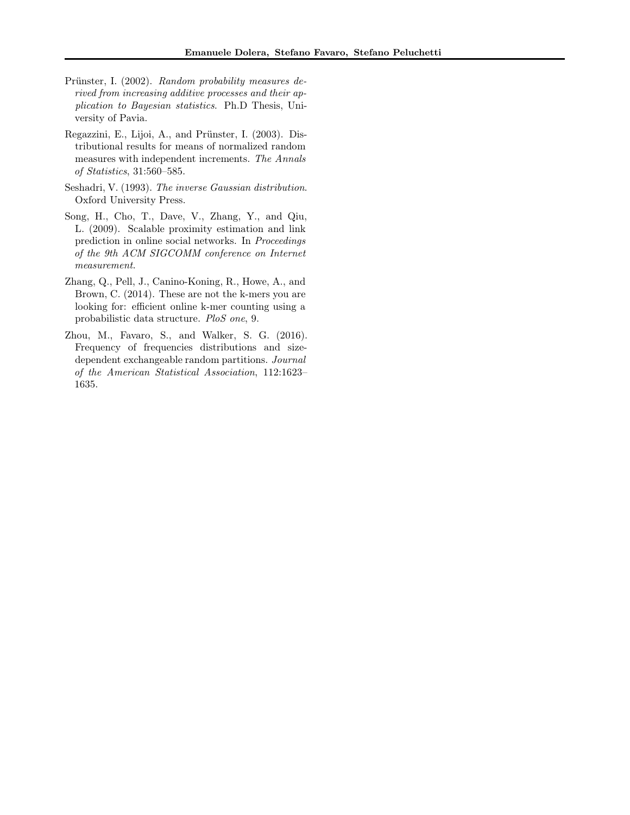- Prünster, I. (2002). Random probability measures derived from increasing additive processes and their application to Bayesian statistics. Ph.D Thesis, University of Pavia.
- Regazzini, E., Lijoi, A., and Prünster, I. (2003). Distributional results for means of normalized random measures with independent increments. The Annals of Statistics, 31:560–585.
- Seshadri, V. (1993). The inverse Gaussian distribution. Oxford University Press.
- <span id="page-10-1"></span>Song, H., Cho, T., Dave, V., Zhang, Y., and Qiu, L. (2009). Scalable proximity estimation and link prediction in online social networks. In Proceedings of the 9th ACM SIGCOMM conference on Internet measurement.
- <span id="page-10-0"></span>Zhang, Q., Pell, J., Canino-Koning, R., Howe, A., and Brown, C. (2014). These are not the k-mers you are looking for: efficient online k-mer counting using a probabilistic data structure. PloS one, 9.
- Zhou, M., Favaro, S., and Walker, S. G. (2016). Frequency of frequencies distributions and sizedependent exchangeable random partitions. Journal of the American Statistical Association, 112:1623– 1635.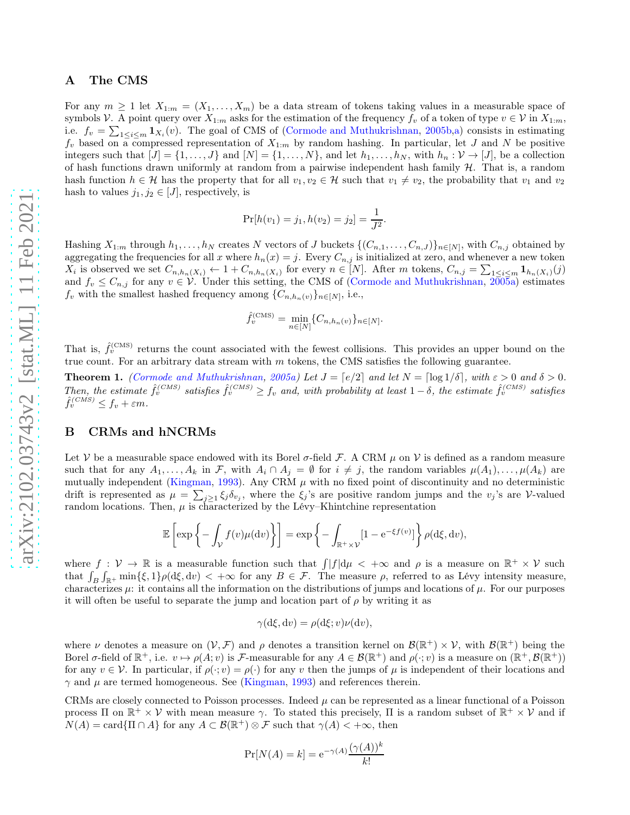#### A The CMS

For any  $m \ge 1$  let  $X_{1:m} = (X_1, \ldots, X_m)$  be a data stream of tokens taking values in a measurable space of symbols V. A point query over  $X_{1:m}$  asks for the estimation of the frequency  $f_v$  of a token of type  $v \in V$  in  $X_{1:m}$ , i.e.  $f_v = \sum_{1 \leq i \leq m} \mathbf{1}_{X_i}(v)$ . The goal of CMS of [\(Cormode and Muthukrishnan,](#page-24-0) [2005b](#page-24-0)[,a\)](#page-24-1) consists in estimating  $f_v$  based on a compressed representation of  $X_{1:m}$  by random hashing. In particular, let J and N be positive integers such that  $[J] = \{1, \ldots, J\}$  and  $[N] = \{1, \ldots, N\}$ , and let  $h_1, \ldots, h_N$ , with  $h_n : \mathcal{V} \to [J]$ , be a collection of hash functions drawn uniformly at random from a pairwise independent hash family  $H$ . That is, a random hash function  $h \in \mathcal{H}$  has the property that for all  $v_1, v_2 \in \mathcal{H}$  such that  $v_1 \neq v_2$ , the probability that  $v_1$  and  $v_2$ hash to values  $j_1, j_2 \in [J]$ , respectively, is

$$
Pr[h(v_1) = j_1, h(v_2) = j_2] = \frac{1}{J^2}.
$$

Hashing  $X_{1:m}$  through  $h_1, \ldots, h_N$  creates N vectors of J buckets  $\{(C_{n,1}, \ldots, C_{n,J})\}_{n \in [N]}$ , with  $C_{n,j}$  obtained by aggregating the frequencies for all x where  $h_n(x) = j$ . Every  $C_{n,j}$  is initialized at zero, and whenever a new token  $X_i$  is observed we set  $C_{n,h_n(X_i)} \leftarrow 1 + C_{n,h_n(X_i)}$  for every  $n \in [N]$ . After m tokens,  $C_{n,j} = \sum_{1 \leq i \leq m} \mathbf{1}_{h_n(X_i)}(j)$ and  $f_v \leq C_{n,j}$  for any  $v \in V$ . Under this setting, the CMS of [\(Cormode and Muthukrishnan,](#page-24-1) [2005a](#page-24-1)) estimates  $f_v$  with the smallest hashed frequency among  $\{C_{n,h_n(v)}\}_{n\in[N]}$ , i.e.,

$$
\hat{f}_v^{(\text{CMS})} = \min_{n \in [N]} \{C_{n,h_n(v)}\}_{n \in [N]}.
$$

That is,  $\hat{f}_v^{(CMS)}$  returns the count associated with the fewest collisions. This provides an upper bound on the true count. For an arbitrary data stream with  $m$  tokens, the CMS satisfies the following guarantee.

**Theorem 1.** [\(Cormode and Muthukrishnan,](#page-24-1) [2005a](#page-24-1)) Let  $J = [e/2]$  and let  $N = [\log 1/\delta]$ , with  $\varepsilon > 0$  and  $\delta > 0$ . Then, the estimate  $\hat{f}_v^{(CMS)}$  satisfies  $\hat{f}_v^{(CMS)} \ge f_v$  and, with probability at least  $1 - \delta$ , the estimate  $\hat{f}_v^{(CMS)}$  satisfies  $\hat{f}_v^{(CMS)} \leq f_v + \varepsilon m.$ 

## B CRMs and hNCRMs

Let V be a measurable space endowed with its Borel  $\sigma$ -field F. A CRM  $\mu$  on V is defined as a random measure such that for any  $A_1, \ldots, A_k$  in F, with  $A_i \cap A_j = \emptyset$  for  $i \neq j$ , the random variables  $\mu(A_1), \ldots, \mu(A_k)$  are mutually independent [\(Kingman,](#page-24-6) [1993\)](#page-24-6). Any CRM  $\mu$  with no fixed point of discontinuity and no deterministic drift is represented as  $\mu = \sum_{j\geq 1} \xi_j \delta_{v_j}$ , where the  $\xi_j$ 's are positive random jumps and the  $v_j$ 's are V-valued random locations. Then,  $\mu$  is characterized by the Lévy–Khintchine representation

$$
\mathbb{E}\left[\exp\left\{-\int_{\mathcal{V}}f(v)\mu(\mathrm{d}v)\right\}\right]=\exp\left\{-\int_{\mathbb{R}^+\times\mathcal{V}}[1-\mathrm{e}^{-\xi f(v)}]\right\}\rho(\mathrm{d}\xi,\mathrm{d}v),
$$

where  $f: V \to \mathbb{R}$  is a measurable function such that  $\int |f| d\mu < +\infty$  and  $\rho$  is a measure on  $\mathbb{R}^+ \times V$  such that  $\int_B \int_{\mathbb{R}^+} \min\{\xi, 1\} \rho(\mathrm{d}\xi, \mathrm{d}v) < +\infty$  for any  $B \in \mathcal{F}$ . The measure  $\rho$ , referred to as Lévy intensity measure, characterizes  $\mu$ : it contains all the information on the distributions of jumps and locations of  $\mu$ . For our purposes it will often be useful to separate the jump and location part of  $\rho$  by writing it as

$$
\gamma(\mathrm{d}\xi, \mathrm{d}v) = \rho(\mathrm{d}\xi; v)\nu(\mathrm{d}v),
$$

where  $\nu$  denotes a measure on  $(\nu, \mathcal{F})$  and  $\rho$  denotes a transition kernel on  $\mathcal{B}(\mathbb{R}^+) \times \mathcal{V}$ , with  $\mathcal{B}(\mathbb{R}^+)$  being the Borel  $\sigma$ -field of  $\mathbb{R}^+$ , i.e.  $v \mapsto \rho(A; v)$  is  $\mathcal{F}$ -measurable for any  $A \in \mathcal{B}(\mathbb{R}^+)$  and  $\rho(\cdot; v)$  is a measure on  $(\mathbb{R}^+, \mathcal{B}(\mathbb{R}^+))$ for any  $v \in V$ . In particular, if  $\rho(\cdot; v) = \rho(\cdot)$  for any v then the jumps of  $\mu$  is independent of their locations and  $\gamma$  and  $\mu$  are termed homogeneous. See [\(Kingman](#page-24-6), [1993\)](#page-24-6) and references therein.

CRMs are closely connected to Poisson processes. Indeed  $\mu$  can be represented as a linear functional of a Poisson process  $\Pi$  on  $\mathbb{R}^+ \times V$  with mean measure  $\gamma$ . To stated this precisely,  $\Pi$  is a random subset of  $\mathbb{R}^+ \times V$  and if  $N(A) = \text{card}\{\Pi \cap A\}$  for any  $A \subset \mathcal{B}(\mathbb{R}^+) \otimes \mathcal{F}$  such that  $\gamma(A) < +\infty$ , then

$$
\Pr[N(A) = k] = e^{-\gamma(A)} \frac{(\gamma(A))^k}{k!}
$$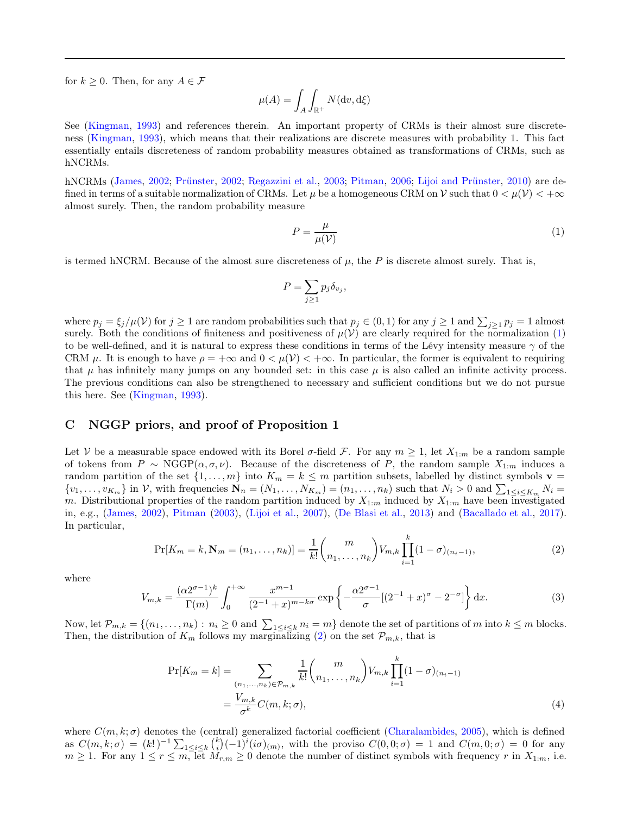for  $k \geq 0$ . Then, for any  $A \in \mathcal{F}$ 

$$
\mu(A) = \int_A \int_{\mathbb{R}^+} N(\mathrm{d}v, \mathrm{d}\xi)
$$

See [\(Kingman,](#page-24-6) [1993\)](#page-24-6) and references therein. An important property of CRMs is their almost sure discreteness [\(Kingman](#page-24-6), [1993\)](#page-24-6), which means that their realizations are discrete measures with probability 1. This fact essentially entails discreteness of random probability measures obtained as transformations of CRMs, such as hNCRMs.

hNCRMs [\(James,](#page-24-4) [2002;](#page-24-4) [Prünster,](#page-25-0) [2002;](#page-25-0) [Regazzini et al.](#page-25-1), [2003;](#page-25-1) [Pitman](#page-25-2), [2006;](#page-25-2) [Lijoi and Prünster,](#page-24-5) [2010\)](#page-24-5) are defined in terms of a suitable normalization of CRMs. Let  $\mu$  be a homogeneous CRM on V such that  $0 < \mu(\mathcal{V}) < +\infty$ almost surely. Then, the random probability measure

<span id="page-12-0"></span>
$$
P = \frac{\mu}{\mu(\mathcal{V})} \tag{1}
$$

is termed hNCRM. Because of the almost sure discreteness of  $\mu$ , the P is discrete almost surely. That is,

$$
P = \sum_{j\geq 1} p_j \delta_{v_j},
$$

where  $p_j = \xi_j/\mu(\mathcal{V})$  for  $j \ge 1$  are random probabilities such that  $p_j \in (0,1)$  for any  $j \ge 1$  and  $\sum_{j\ge 1} p_j = 1$  almost surely. Both the conditions of finiteness and positiveness of  $\mu(\mathcal{V})$  are clearly required for the normalization [\(1\)](#page-12-0) to be well-defined, and it is natural to express these conditions in terms of the Lévy intensity measure  $\gamma$  of the CRM  $\mu$ . It is enough to have  $\rho = +\infty$  and  $0 < \mu(\mathcal{V}) < +\infty$ . In particular, the former is equivalent to requiring that  $\mu$  has infinitely many jumps on any bounded set: in this case  $\mu$  is also called an infinite activity process. The previous conditions can also be strengthened to necessary and sufficient conditions but we do not pursue this here. See [\(Kingman](#page-24-6), [1993\)](#page-24-6).

## C NGGP priors, and proof of Proposition 1

Let V be a measurable space endowed with its Borel  $\sigma$ -field F. For any  $m \geq 1$ , let  $X_{1:m}$  be a random sample of tokens from  $P \sim \text{NGGP}(\alpha, \sigma, \nu)$ . Because of the discreteness of P, the random sample  $X_{1:m}$  induces a random partition of the set  $\{1,\ldots,m\}$  into  $K_m = k \leq m$  partition subsets, labelled by distinct symbols  $\mathbf{v} =$  $\{v_1, \ldots, v_{K_m}\}\$ in V, with frequencies  $\mathbf{N}_n = (N_1, \ldots, N_{K_m}) = (n_1, \ldots, n_k)$  such that  $N_i > 0$  and  $\sum_{1 \leq i \leq K_m} N_i =$ m. Distributional properties of the random partition induced by  $X_{1:m}$  induced by  $X_{1:m}$  have been investigated in, e.g., [\(James,](#page-24-4) [2002](#page-24-4)), [Pitman](#page-24-8) [\(2003](#page-24-8)), [\(Lijoi et al.,](#page-24-7) [2007\)](#page-24-7), [\(De Blasi et al.](#page-24-9), [2013](#page-24-9)) and [\(Bacallado et al.,](#page-24-10) [2017\)](#page-24-10). In particular,

<span id="page-12-1"></span>
$$
\Pr[K_m = k, \mathbf{N}_m = (n_1, \dots, n_k)] = \frac{1}{k!} \binom{m}{n_1, \dots, n_k} V_{m,k} \prod_{i=1}^k (1 - \sigma)_{(n_i - 1)},
$$
\n(2)

where

<span id="page-12-3"></span>
$$
V_{m,k} = \frac{(\alpha 2^{\sigma-1})^k}{\Gamma(m)} \int_0^{+\infty} \frac{x^{m-1}}{(2^{-1}+x)^{m-k\sigma}} \exp\left\{-\frac{\alpha 2^{\sigma-1}}{\sigma}[(2^{-1}+x)^{\sigma} - 2^{-\sigma}]\right\} dx.
$$
 (3)

Now, let  $\mathcal{P}_{m,k} = \{(n_1, \ldots, n_k) : n_i \geq 0 \text{ and } \sum_{1 \leq i \leq k} n_i = m\}$  denote the set of partitions of m into  $k \leq m$  blocks. Then, the distribution of  $K_m$  follows my marginalizing [\(2\)](#page-12-1) on the set  $\mathcal{P}_{m,k}$ , that is

<span id="page-12-2"></span>
$$
\Pr[K_{m} = k] = \sum_{\substack{(n_{1},...,n_{k}) \in \mathcal{P}_{m,k} \\ m \neq k}} \frac{1}{k!} {m \choose n_{1},...,n_{k}} V_{m,k} \prod_{i=1}^{k} (1 - \sigma)_{(n_{i} - 1)} \n= \frac{V_{m,k}}{\sigma^{k}} C(m,k;\sigma),
$$
\n(4)

where  $C(m, k; \sigma)$  denotes the (central) generalized factorial coefficient [\(Charalambides,](#page-24-11) [2005](#page-24-11)), which is defined as  $C(m, k; \sigma) = (k!)^{-1} \sum_{1 \leq i \leq k} {k \choose i} (-1)^i (i\sigma)_{(m)}$ , with the proviso  $C(0, 0; \sigma) = 1$  and  $C(m, 0; \sigma) = 0$  for any  $m \ge 1$ . For any  $1 \le r \le m$ , let  $M_{r,m} \ge 0$  denote the number of distinct symbols with frequency r in  $X_{1:m}$ , i.e.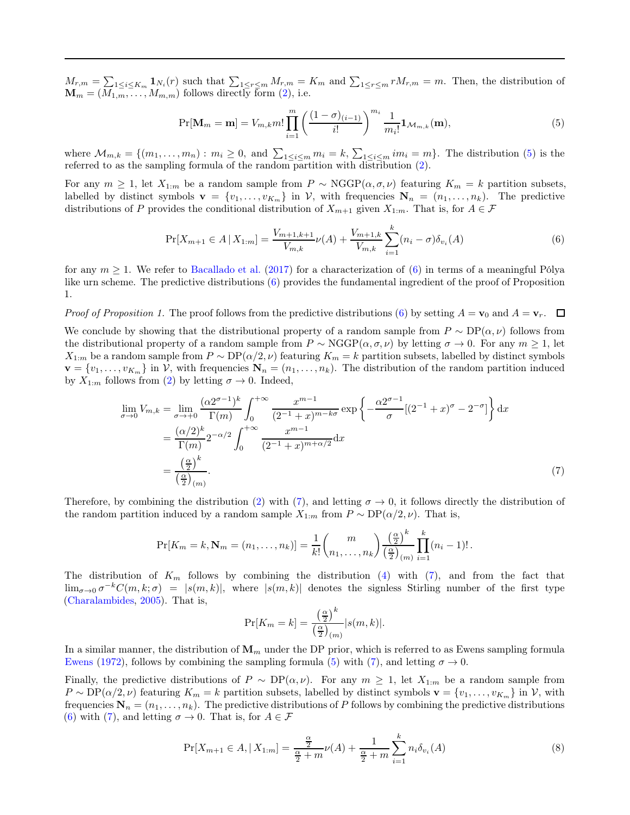$M_{r,m} = \sum_{1 \leq i \leq K_m} \mathbf{1}_{N_i}(r)$  such that  $\sum_{1 \leq r \leq m} M_{r,m} = K_m$  and  $\sum_{1 \leq r \leq m} r M_{r,m} = m$ . Then, the distribution of  $\mathbf{M}_m = (\overline{M_1}_m, \dots, \overline{M_{m,m}})$  follows directly form [\(2\)](#page-12-1), i.e.

<span id="page-13-0"></span>
$$
\Pr[\mathbf{M}_{m} = \mathbf{m}] = V_{m,k} m! \prod_{i=1}^{m} \left( \frac{(1-\sigma)_{(i-1)}}{i!} \right)^{m_i} \frac{1}{m_i!} \mathbf{1}_{\mathcal{M}_{m,k}}(\mathbf{m}), \tag{5}
$$

where  $\mathcal{M}_{m,k} = \{(m_1, \ldots, m_n) : m_i \geq 0, \text{ and } \sum_{1 \leq i \leq m} m_i = k, \sum_{1 \leq i \leq m} im_i = m\}$ . The distribution [\(5\)](#page-13-0) is the referred to as the sampling formula of the random partition with distribution [\(2\)](#page-12-1).

For any  $m \geq 1$ , let  $X_{1:m}$  be a random sample from  $P \sim \text{NGGP}(\alpha, \sigma, \nu)$  featuring  $K_m = k$  partition subsets, labelled by distinct symbols  $\mathbf{v} = \{v_1, \ldots, v_{K_m}\}$  in V, with frequencies  $\mathbf{N}_n = (n_1, \ldots, n_k)$ . The predictive distributions of P provides the conditional distribution of  $X_{m+1}$  given  $X_{1:m}$ . That is, for  $A \in \mathcal{F}$ 

<span id="page-13-1"></span>
$$
\Pr[X_{m+1} \in A \mid X_{1:m}] = \frac{V_{m+1,k+1}}{V_{m,k}} \nu(A) + \frac{V_{m+1,k}}{V_{m,k}} \sum_{i=1}^{k} (n_i - \sigma) \delta_{v_i}(A) \tag{6}
$$

for any  $m \geq 1$ . We refer to [Bacallado et al.](#page-24-10) [\(2017\)](#page-24-10) for a characterization of [\(6\)](#page-13-1) in terms of a meaningful Pólya like urn scheme. The predictive distributions [\(6\)](#page-13-1) provides the fundamental ingredient of the proof of Proposition 1.

*Proof of Proposition 1.* The proof follows from the predictive distributions [\(6\)](#page-13-1) by setting  $A = v_0$  and  $A = v_r$ .  $\Box$ 

We conclude by showing that the distributional property of a random sample from  $P \sim DP(\alpha, \nu)$  follows from the distributional property of a random sample from  $P \sim \text{NGGP}(\alpha, \sigma, \nu)$  by letting  $\sigma \to 0$ . For any  $m \ge 1$ , let  $X_{1:m}$  be a random sample from  $P \sim DP(\alpha/2, \nu)$  featuring  $K_m = k$  partition subsets, labelled by distinct symbols  $\mathbf{v} = \{v_1, \ldots, v_{K_m}\}\$ in V, with frequencies  $\mathbf{N}_n = (n_1, \ldots, n_k)$ . The distribution of the random partition induced by  $X_{1:m}$  follows from [\(2\)](#page-12-1) by letting  $\sigma \to 0$ . Indeed,

$$
\lim_{\sigma \to 0} V_{m,k} = \lim_{\sigma \to +0} \frac{(\alpha 2^{\sigma - 1})^k}{\Gamma(m)} \int_0^{+\infty} \frac{x^{m-1}}{(2^{-1} + x)^{m-k\sigma}} \exp\left\{-\frac{\alpha 2^{\sigma - 1}}{\sigma}[(2^{-1} + x)^{\sigma} - 2^{-\sigma}]\right\} dx
$$

$$
= \frac{(\alpha/2)^k}{\Gamma(m)} 2^{-\alpha/2} \int_0^{+\infty} \frac{x^{m-1}}{(2^{-1} + x)^{m+\alpha/2}} dx
$$

$$
= \frac{\left(\frac{\alpha}{2}\right)^k}{\left(\frac{\alpha}{2}\right)_{(m)}}.
$$
(7)

Therefore, by combining the distribution [\(2\)](#page-12-1) with [\(7\)](#page-13-2), and letting  $\sigma \to 0$ , it follows directly the distribution of the random partition induced by a random sample  $X_{1:m}$  from  $P \sim DP(\alpha/2, \nu)$ . That is,

$$
\Pr[K_m = k, \mathbf{N}_m = (n_1, \dots, n_k)] = \frac{1}{k!} {m \choose n_1, \dots, n_k} \frac{\left(\frac{\alpha}{2}\right)^k}{\left(\frac{\alpha}{2}\right)_{(m)}} \prod_{i=1}^k (n_i - 1)!.
$$

The distribution of  $K_m$  follows by combining the distribution [\(4\)](#page-12-2) with [\(7\)](#page-13-2), and from the fact that  $\lim_{\sigma\to 0} \sigma^{-k}C(m, k; \sigma) = |s(m, k)|$ , where  $|s(m, k)|$  denotes the signless Stirling number of the first type [\(Charalambides](#page-24-11), [2005](#page-24-11)). That is,

<span id="page-13-2"></span>
$$
\Pr[K_m = k] = \frac{\left(\frac{\alpha}{2}\right)^k}{\left(\frac{\alpha}{2}\right)_{(m)}} |s(m, k)|.
$$

In a similar manner, the distribution of  $\mathbf{M}_m$  under the DP prior, which is referred to as Ewens sampling formula [Ewens](#page-24-12) [\(1972\)](#page-24-12), follows by combining the sampling formula [\(5\)](#page-13-0) with [\(7\)](#page-13-2), and letting  $\sigma \to 0$ .

Finally, the predictive distributions of  $P \sim DP(\alpha, \nu)$ . For any  $m \geq 1$ , let  $X_{1:m}$  be a random sample from  $P \sim \text{DP}(\alpha/2, \nu)$  featuring  $K_m = k$  partition subsets, labelled by distinct symbols  $\mathbf{v} = \{v_1, \ldots, v_{K_m}\}$  in  $\mathcal{V}$ , with frequencies  $\mathbf{N}_n = (n_1, \ldots, n_k)$ . The predictive distributions of P follows by combining the predictive distributions [\(6\)](#page-13-1) with [\(7\)](#page-13-2), and letting  $\sigma \to 0$ . That is, for  $A \in \mathcal{F}$ 

<span id="page-13-3"></span>
$$
\Pr[X_{m+1} \in A, |X_{1:m}] = \frac{\frac{\alpha}{2}}{\frac{\alpha}{2} + m} \nu(A) + \frac{1}{\frac{\alpha}{2} + m} \sum_{i=1}^{k} n_i \delta_{v_i}(A) \tag{8}
$$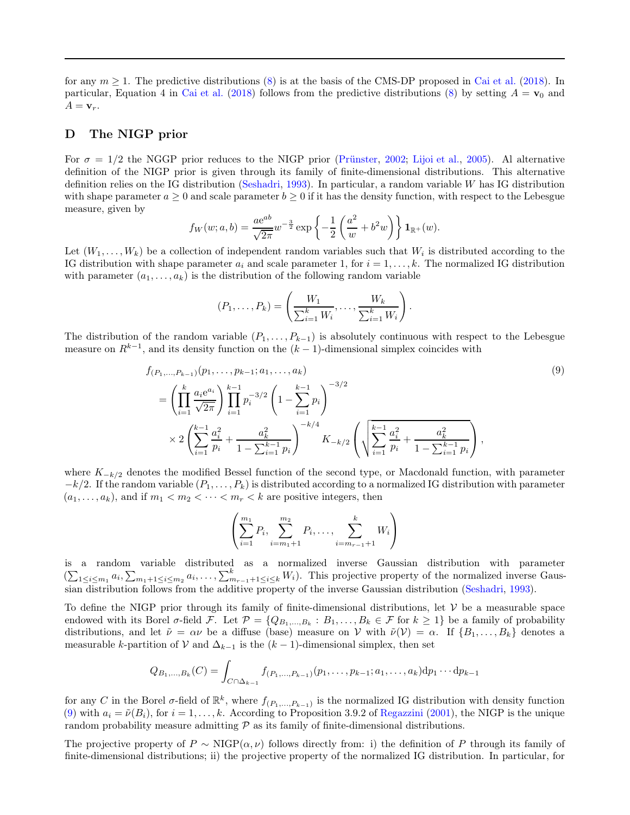for any  $m > 1$ . The predictive distributions [\(8\)](#page-13-3) is at the basis of the CMS-DP proposed in [Cai et al.](#page-24-2) [\(2018\)](#page-24-2). In particular, Equation 4 in [Cai et al.](#page-24-2) [\(2018\)](#page-24-2) follows from the predictive distributions [\(8\)](#page-13-3) by setting  $A = v_0$  and  $A = \mathbf{v}_r$ .

## D The NIGP prior

For  $\sigma = 1/2$  the NGGP prior reduces to the NIGP prior [\(Prünster](#page-25-0), [2002](#page-25-0); [Lijoi et al.,](#page-24-3) [2005\)](#page-24-3). Al alternative definition of the NIGP prior is given through its family of finite-dimensional distributions. This alternative definition relies on the IG distribution [\(Seshadri](#page-25-3), [1993](#page-25-3)). In particular, a random variable W has IG distribution with shape parameter  $a \geq 0$  and scale parameter  $b \geq 0$  if it has the density function, with respect to the Lebesgue measure, given by

$$
f_W(w;a,b) = \frac{ae^{ab}}{\sqrt{2\pi}} w^{-\frac{3}{2}} \exp\left\{-\frac{1}{2}\left(\frac{a^2}{w} + b^2 w\right)\right\} \mathbf{1}_{\mathbb{R}^+}(w).
$$

Let  $(W_1, \ldots, W_k)$  be a collection of independent random variables such that  $W_i$  is distributed according to the IG distribution with shape parameter  $a_i$  and scale parameter 1, for  $i = 1, \ldots, k$ . The normalized IG distribution with parameter  $(a_1, \ldots, a_k)$  is the distribution of the following random variable

<span id="page-14-0"></span>
$$
(P_1, ..., P_k) = \left(\frac{W_1}{\sum_{i=1}^k W_i}, ..., \frac{W_k}{\sum_{i=1}^k W_i}\right).
$$

The distribution of the random variable  $(P_1, \ldots, P_{k-1})$  is absolutely continuous with respect to the Lebesgue measure on  $R^{k-1}$ , and its density function on the  $(k-1)$ -dimensional simplex coincides with

$$
f_{(P_1,...,P_{k-1})}(p_1,...,p_{k-1}; a_1,...,a_k)
$$
\n
$$
= \left(\prod_{i=1}^k \frac{a_i e^{a_i}}{\sqrt{2\pi}}\right) \prod_{i=1}^{k-1} p_i^{-3/2} \left(1 - \sum_{i=1}^{k-1} p_i\right)^{-3/2}
$$
\n
$$
\times 2 \left(\sum_{i=1}^{k-1} \frac{a_i^2}{p_i} + \frac{a_k^2}{1 - \sum_{i=1}^{k-1} p_i}\right)^{-k/4} K_{-k/2} \left(\sqrt{\sum_{i=1}^{k-1} \frac{a_i^2}{p_i} + \frac{a_k^2}{1 - \sum_{i=1}^{k-1} p_i}}\right),
$$
\n(9)

where  $K_{-k/2}$  denotes the modified Bessel function of the second type, or Macdonald function, with parameter  $-k/2$ . If the random variable  $(P_1, \ldots, P_k)$  is distributed according to a normalized IG distribution with parameter  $(a_1, \ldots, a_k)$ , and if  $m_1 < m_2 < \cdots < m_r < k$  are positive integers, then

$$
\left(\sum_{i=1}^{m_1} P_i, \sum_{i=m_1+1}^{m_2} P_i, \dots, \sum_{i=m_{r-1}+1}^{k} W_i\right)
$$

is a random variable distributed as a normalized inverse Gaussian distribution with parameter  $(\sum_{1 \leq i \leq m_1} a_i, \sum_{m_1+1 \leq i \leq m_2} a_i, \dots, \sum_{m_{r-1}+1 \leq i \leq k}^k W_i)$ . This projective property of the normalized inverse Gaussian distribution follows from the additive property of the inverse Gaussian distribution [\(Seshadri](#page-25-3), [1993\)](#page-25-3).

To define the NIGP prior through its family of finite-dimensional distributions, let  $\mathcal V$  be a measurable space endowed with its Borel  $\sigma$ -field F. Let  $\mathcal{P} = \{Q_{B_1,...,B_k} : B_1,...,B_k \in \mathcal{F} \text{ for } k \geq 1\}$  be a family of probability distributions, and let  $\tilde{\nu} = \alpha \nu$  be a diffuse (base) measure on V with  $\tilde{\nu}(\mathcal{V}) = \alpha$ . If  $\{B_1, \ldots, B_k\}$  denotes a measurable k-partition of V and  $\Delta_{k-1}$  is the  $(k-1)$ -dimensional simplex, then set

$$
Q_{B_1,...,B_k}(C) = \int_{C \cap \Delta_{k-1}} f_{(P_1,...,P_{k-1})}(p_1,...,p_{k-1}; a_1,...,a_k) dp_1 \cdots dp_{k-1}
$$

for any C in the Borel  $\sigma$ -field of  $\mathbb{R}^k$ , where  $f_{(P_1,...,P_{k-1})}$  is the normalized IG distribution with density function [\(9\)](#page-14-0) with  $a_i = \tilde{\nu}(B_i)$ , for  $i = 1, \ldots, k$ . According to Proposition 3.9.2 of [Regazzini](#page-25-4) [\(2001](#page-25-4)), the NIGP is the unique random probability measure admitting  $P$  as its family of finite-dimensional distributions.

The projective property of  $P \sim \text{NIGP}(\alpha, \nu)$  follows directly from: i) the definition of P through its family of finite-dimensional distributions; ii) the projective property of the normalized IG distribution. In particular, for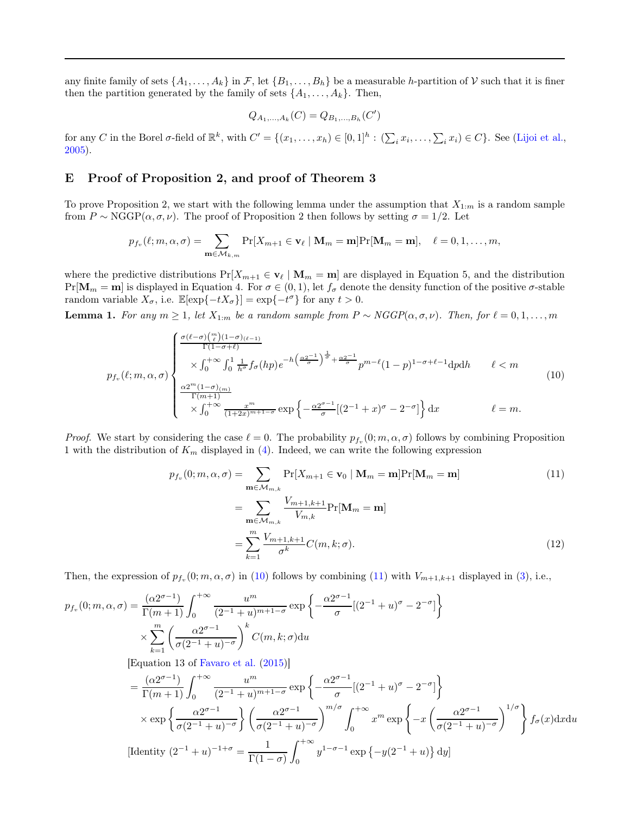any finite family of sets  $\{A_1, \ldots, A_k\}$  in F, let  $\{B_1, \ldots, B_h\}$  be a measurable h-partition of V such that it is finer then the partition generated by the family of sets  $\{A_1, \ldots, A_k\}$ . Then,

$$
Q_{A_1,...,A_k}(C) = Q_{B_1,...,B_k}(C')
$$

for any C in the Borel  $\sigma$ -field of  $\mathbb{R}^k$ , with  $C' = \{(x_1, \ldots, x_h) \in [0,1]^h : (\sum_i x_i, \ldots, \sum_i x_i) \in C\}$ . See [\(Lijoi et al.,](#page-24-3) [2005\)](#page-24-3).

## E Proof of Proposition 2, and proof of Theorem 3

To prove Proposition 2, we start with the following lemma under the assumption that  $X_{1:m}$  is a random sample from  $P \sim \text{NGGP}(\alpha, \sigma, \nu)$ . The proof of Proposition 2 then follows by setting  $\sigma = 1/2$ . Let

$$
p_{f_v}(\ell;m,\alpha,\sigma)=\sum_{\mathbf{m}\in\mathcal{M}_{k,m}}\Pr[X_{m+1}\in\mathbf{v}_{\ell}\mid\mathbf{M}_m=\mathbf{m}]\Pr[\mathbf{M}_m=\mathbf{m}],\quad \ell=0,1,\ldots,m,
$$

where the predictive distributions  $Pr[X_{m+1} \in v_\ell | M_m = m]$  are displayed in Equation 5, and the distribution  $Pr[\mathbf{M}_m = \mathbf{m}]$  is displayed in Equation 4. For  $\sigma \in (0,1)$ , let  $f_{\sigma}$  denote the density function of the positive  $\sigma$ -stable random variable  $X_{\sigma}$ , i.e.  $\mathbb{E}[\exp\{-tX_{\sigma}\}] = \exp\{-t^{\sigma}\}\$ for any  $t > 0$ .

<span id="page-15-2"></span>**Lemma 1.** For any  $m \ge 1$ , let  $X_{1:m}$  be a random sample from  $P \sim NGGP(\alpha, \sigma, \nu)$ . Then, for  $\ell = 0, 1, ..., m$ 

$$
p_{f_v}(\ell;m,\alpha,\sigma) \begin{cases} \frac{\sigma(\ell-\sigma)\binom{m}{\ell}(1-\sigma)_{(\ell-1)}}{\Gamma(1-\sigma+\ell)} & \times \int_0^{+\infty} \int_0^1 \frac{1}{h^{\sigma}} f_{\sigma}(hp) e^{-h\left(\frac{\alpha^{2}-1}{\sigma}\right)^{\frac{1}{\sigma}} + \frac{\alpha^{2}-1}{\sigma}} p^{m-\ell}(1-p)^{1-\sigma+\ell-1} dp dh & \ell < m \\ & \times \int_0^{+\infty} \frac{\alpha^{2^m}(1-\sigma)_{(m)}}{\Gamma(m+1)} & \times \int_0^{+\infty} \frac{x^m}{(1+2x)^{m+1-\sigma}} \exp\left\{-\frac{\alpha^{2^{\sigma-1}}}{\sigma}\left[(2^{-1}+x)^{\sigma}-2^{-\sigma}\right]\right\} dx & \ell = m. \end{cases} \tag{10}
$$

*Proof.* We start by considering the case  $\ell = 0$ . The probability  $p_{f_v}(0; m, \alpha, \sigma)$  follows by combining Proposition 1 with the distribution of  $K_m$  displayed in [\(4\)](#page-12-2). Indeed, we can write the following expression

<span id="page-15-1"></span><span id="page-15-0"></span>
$$
p_{f_v}(0; m, \alpha, \sigma) = \sum_{\mathbf{m} \in \mathcal{M}_{m,k}} \Pr[X_{m+1} \in \mathbf{v}_0 \mid \mathbf{M}_m = \mathbf{m}] \Pr[\mathbf{M}_m = \mathbf{m}]
$$
(11)  

$$
= \sum_{\mathbf{m} \in \mathcal{M}_{m,k}} \frac{V_{m+1,k+1}}{V_{m,k}} \Pr[\mathbf{M}_m = \mathbf{m}]
$$

$$
= \sum_{k=1}^m \frac{V_{m+1,k+1}}{\sigma^k} C(m, k; \sigma).
$$

Then, the expression of  $p_{f_v}(0; m, \alpha, \sigma)$  in [\(10\)](#page-15-0) follows by combining [\(11\)](#page-15-1) with  $V_{m+1,k+1}$  displayed in [\(3\)](#page-12-3), i.e.,

$$
p_{f_v}(0; m, \alpha, \sigma) = \frac{(\alpha 2^{\sigma - 1})}{\Gamma(m + 1)} \int_0^{+\infty} \frac{u^m}{(2^{-1} + u)^{m+1-\sigma}} \exp\left\{-\frac{\alpha 2^{\sigma - 1}}{\sigma}[(2^{-1} + u)^{\sigma} - 2^{-\sigma}]\right\}
$$
  
\n
$$
\times \sum_{k=1}^m \left(\frac{\alpha 2^{\sigma - 1}}{\sigma(2^{-1} + u)^{-\sigma}}\right)^k C(m, k; \sigma) du
$$
  
\n[Equation 13 of Favaro et al. (2015)]  
\n
$$
= \frac{(\alpha 2^{\sigma - 1})}{\Gamma(m + 1)} \int_0^{+\infty} \frac{u^m}{(2^{-1} + u)^{m+1-\sigma}} \exp\left\{-\frac{\alpha 2^{\sigma - 1}}{\sigma}[(2^{-1} + u)^{\sigma} - 2^{-\sigma}]\right\}
$$
  
\n
$$
\times \exp\left\{\frac{\alpha 2^{\sigma - 1}}{\sigma(2^{-1} + u)^{-\sigma}}\right\} \left(\frac{\alpha 2^{\sigma - 1}}{\sigma(2^{-1} + u)^{-\sigma}}\right)^{m/\sigma} \int_0^{+\infty} x^m \exp\left\{-x\left(\frac{\alpha 2^{\sigma - 1}}{\sigma(2^{-1} + u)^{-\sigma}}\right)^{1/\sigma}\right\} f_{\sigma}(x) dx du
$$

[Identity 
$$
(2^{-1} + u)^{-1+\sigma} = \frac{1}{\Gamma(1-\sigma)} \int_0^{+\infty} y^{1-\sigma-1} \exp \{-y(2^{-1}+u)\} dy]
$$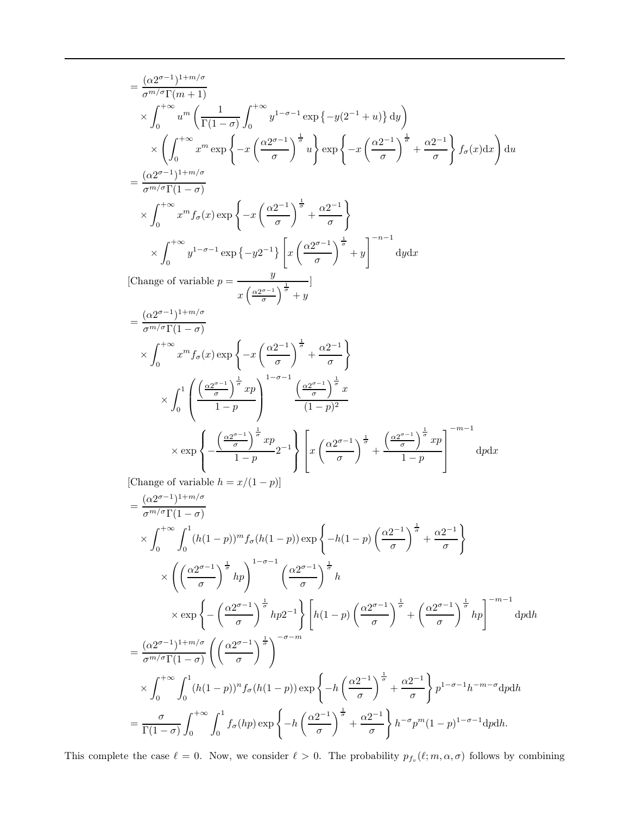$$
= \frac{(\alpha 2^{\sigma-1})^{1+m/\sigma}}{\sigma^{m/\sigma}\Gamma(m+1)}
$$
  
\n
$$
\times \int_0^{+\infty} u^m \left( \frac{1}{\Gamma(1-\sigma)} \int_0^{+\infty} y^{1-\sigma-1} \exp \{-y(2^{-1}+u)\} dy \right)
$$
  
\n
$$
\times \left( \int_0^{+\infty} x^m \exp \left\{-x \left( \frac{\alpha 2^{\sigma-1}}{\sigma} \right)^{\frac{1}{\sigma}} u \right\} \exp \left\{-x \left( \frac{\alpha 2^{-1}}{\sigma} \right)^{\frac{1}{\sigma}} + \frac{\alpha 2^{-1}}{\sigma} \right\} f_{\sigma}(x) dx \right) du
$$
  
\n
$$
= \frac{(\alpha 2^{\sigma-1})^{1+m/\sigma}}{\sigma^{m/\sigma}\Gamma(1-\sigma)}
$$
  
\n
$$
\times \int_0^{+\infty} x^m f_{\sigma}(x) \exp \left\{-x \left( \frac{\alpha 2^{-1}}{\sigma} \right)^{\frac{1}{\sigma}} + \frac{\alpha 2^{-1}}{\sigma} \right\}
$$
  
\n
$$
\times \int_0^{+\infty} y^{1-\sigma-1} \exp \{-y^{2-1}\} \left[ x \left( \frac{\alpha 2^{\sigma-1}}{\sigma} \right)^{\frac{1}{\sigma}} + y \right]^{-n-1} dy dx
$$
  
\n[Change of variable  $p = \frac{y}{x \left( \frac{\alpha 2^{\sigma-1}}{\sigma} \right)^{\frac{1}{\sigma}} + y}$   
\n
$$
= \frac{(\alpha 2^{\sigma-1})^{1+m/\sigma}}{\sigma^{m/\sigma}\Gamma(1-\sigma)}
$$
  
\n
$$
\times \int_0^{+\infty} x^m f_{\sigma}(x) \exp \left\{-x \left( \frac{\alpha 2^{-1}}{\sigma} \right)^{\frac{1}{\sigma}} + \frac{\alpha 2^{-1}}{\sigma} \right\}
$$
  
\n
$$
\times \int_0^{1} \left( \frac{\left( \frac{\alpha 2^{\sigma-1}}{1-\rho} \right)^{\frac{1}{\sigma}} xp}{1-p} \right)^{1-\sigma-1} \frac{\left( \frac{\alpha 2^{\sigma-1}}{\sigma} \right)^{\frac{1}{\sigma}} x}{(1-p)^2}
$$
  
\n
$$
\times \exp \left\{-\frac{\left( \frac
$$

$$
= \frac{(\alpha 2^{\sigma-1})^{1+m/\sigma}}{\sigma^{m/\sigma} \Gamma(1-\sigma)}
$$
  
\n
$$
\times \int_0^{+\infty} \int_0^1 (h(1-p))^m f_{\sigma}(h(1-p)) \exp\left\{-h(1-p)\left(\frac{\alpha 2^{-1}}{\sigma}\right)^{\frac{1}{\sigma}} + \frac{\alpha 2^{-1}}{\sigma}\right\}
$$
  
\n
$$
\times \left(\left(\frac{\alpha 2^{\sigma-1}}{\sigma}\right)^{\frac{1}{\sigma}} h p\right)^{1-\sigma-1} \left(\frac{\alpha 2^{\sigma-1}}{\sigma}\right)^{\frac{1}{\sigma}} h
$$
  
\n
$$
\times \exp\left\{-\left(\frac{\alpha 2^{\sigma-1}}{\sigma}\right)^{\frac{1}{\sigma}} h p 2^{-1}\right\} \left[h(1-p)\left(\frac{\alpha 2^{\sigma-1}}{\sigma}\right)^{\frac{1}{\sigma}} + \left(\frac{\alpha 2^{\sigma-1}}{\sigma}\right)^{\frac{1}{\sigma}} h p\right]^{-m-1} d\rho dh
$$
  
\n
$$
= \frac{(\alpha 2^{\sigma-1})^{1+m/\sigma}}{\sigma^{m/\sigma} \Gamma(1-\sigma)} \left(\left(\frac{\alpha 2^{\sigma-1}}{\sigma}\right)^{\frac{1}{\sigma}}\right)^{-\sigma-m}
$$
  
\n
$$
\times \int_0^{+\infty} \int_0^1 (h(1-p))^n f_{\sigma}(h(1-p)) \exp\left\{-h\left(\frac{\alpha 2^{-1}}{\sigma}\right)^{\frac{1}{\sigma}} + \frac{\alpha 2^{-1}}{\sigma}\right\} p^{1-\sigma-1} h^{-m-\sigma} d\rho dh
$$
  
\n
$$
= \frac{\sigma}{\Gamma(1-\sigma)} \int_0^{+\infty} \int_0^1 f_{\sigma}(hp) \exp\left\{-h\left(\frac{\alpha 2^{-1}}{\sigma}\right)^{\frac{1}{\sigma}} + \frac{\alpha 2^{-1}}{\sigma}\right\} h^{-\sigma} p^m (1-p)^{1-\sigma-1} dp dh.
$$

This complete the case  $\ell = 0$ . Now, we consider  $\ell > 0$ . The probability  $p_{f_v}(\ell; m, \alpha, \sigma)$  follows by combining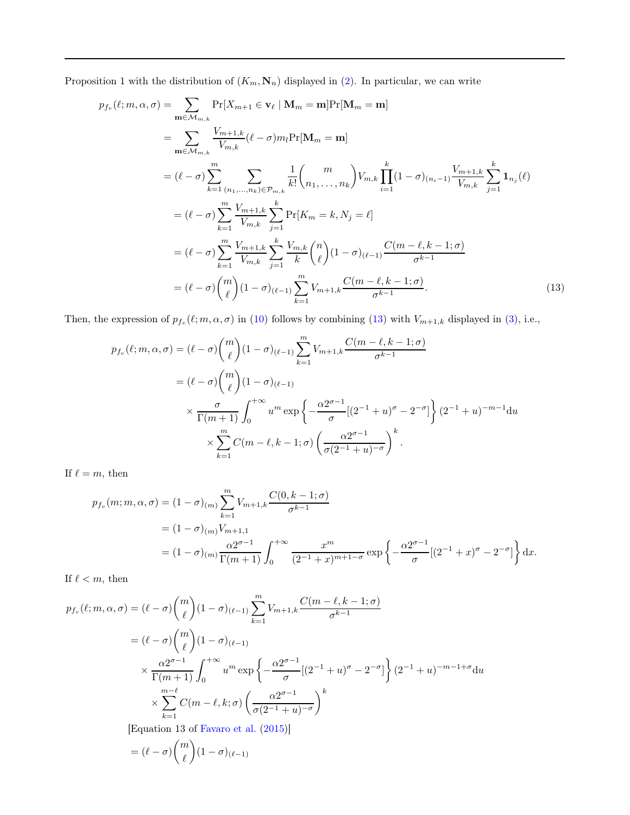Proposition 1 with the distribution of  $(K_m, \mathbf{N}_n)$  displayed in [\(2\)](#page-12-1). In particular, we can write

$$
p_{f_v}(\ell; m, \alpha, \sigma) = \sum_{\mathbf{m} \in \mathcal{M}_{m,k}} \Pr[X_{m+1} \in \mathbf{v}_{\ell} | \mathbf{M}_m = \mathbf{m}] \Pr[\mathbf{M}_m = \mathbf{m}]
$$
  
\n
$$
= \sum_{\mathbf{m} \in \mathcal{M}_{m,k}} \frac{V_{m+1,k}}{V_{m,k}} (\ell - \sigma) m_l \Pr[\mathbf{M}_m = \mathbf{m}]
$$
  
\n
$$
= (\ell - \sigma) \sum_{k=1}^m \sum_{(n_1, \dots, n_k) \in \mathcal{P}_{m,k}} \frac{1}{k!} {m \choose n_1, \dots, n_k} V_{m,k} \prod_{i=1}^k (1 - \sigma)_{(n_i - 1)} \frac{V_{m+1,k}}{V_{m,k}} \sum_{j=1}^k \mathbf{1}_{n_j}(\ell)
$$
  
\n
$$
= (\ell - \sigma) \sum_{k=1}^m \frac{V_{m+1,k}}{V_{m,k}} \sum_{j=1}^k \Pr[K_m = k, N_j = \ell]
$$
  
\n
$$
= (\ell - \sigma) \sum_{k=1}^m \frac{V_{m+1,k}}{V_{m,k}} \sum_{j=1}^k \frac{V_{m,k}}{k} {n \choose \ell} (1 - \sigma)_{(\ell-1)} \frac{C(m - \ell, k - 1; \sigma)}{\sigma^{k-1}}
$$
  
\n
$$
= (\ell - \sigma) {m \choose \ell} (1 - \sigma)_{(\ell-1)} \sum_{k=1}^m V_{m+1,k} \frac{C(m - \ell, k - 1; \sigma)}{\sigma^{k-1}}.
$$
 (13)

Then, the expression of  $p_{f_v}(\ell;m,\alpha,\sigma)$  in [\(10\)](#page-15-0) follows by combining [\(13\)](#page-17-0) with  $V_{m+1,k}$  displayed in [\(3\)](#page-12-3), i.e.,

<span id="page-17-0"></span>
$$
p_{f_v}(\ell;m,\alpha,\sigma) = (\ell-\sigma) {m \choose \ell} (1-\sigma)_{(\ell-1)} \sum_{k=1}^m V_{m+1,k} \frac{C(m-\ell,k-1;\sigma)}{\sigma^{k-1}}
$$
  

$$
= (\ell-\sigma) {m \choose \ell} (1-\sigma)_{(\ell-1)}
$$
  

$$
\times \frac{\sigma}{\Gamma(m+1)} \int_0^{+\infty} u^m \exp\left\{-\frac{\alpha 2^{\sigma-1}}{\sigma} [(2^{-1}+u)^{\sigma}-2^{-\sigma}] \right\} (2^{-1}+u)^{-m-1} du
$$
  

$$
\times \sum_{k=1}^m C(m-\ell,k-1;\sigma) \left(\frac{\alpha 2^{\sigma-1}}{\sigma(2^{-1}+u)^{-\sigma}}\right)^k.
$$

If  $\ell = m$ , then

$$
p_{f_v}(m; m, \alpha, \sigma) = (1 - \sigma)_{(m)} \sum_{k=1}^m V_{m+1,k} \frac{C(0, k-1; \sigma)}{\sigma^{k-1}}
$$
  
=  $(1 - \sigma)_{(m)} V_{m+1,1}$   
=  $(1 - \sigma)_{(m)} \frac{\alpha 2^{\sigma-1}}{\Gamma(m+1)} \int_0^{+\infty} \frac{x^m}{(2^{-1} + x)^{m+1-\sigma}} \exp \left\{-\frac{\alpha 2^{\sigma-1}}{\sigma} [(2^{-1} + x)^{\sigma} - 2^{-\sigma}] \right\} dx.$ 

If  $\ell < m$ , then

$$
p_{f_v}(\ell;m,\alpha,\sigma) = (\ell-\sigma)\binom{m}{\ell}(1-\sigma)_{(\ell-1)}\sum_{k=1}^m V_{m+1,k}\frac{C(m-\ell,k-1;\sigma)}{\sigma^{k-1}}
$$

$$
= (\ell-\sigma)\binom{m}{\ell}(1-\sigma)_{(\ell-1)}
$$

$$
\times \frac{\alpha 2^{\sigma-1}}{\Gamma(m+1)}\int_0^{+\infty} u^m \exp\left\{-\frac{\alpha 2^{\sigma-1}}{\sigma}[(2^{-1}+u)^{\sigma}-2^{-\sigma}]\right\}(2^{-1}+u)^{-m-1+\sigma}du
$$

$$
\times \sum_{k=1}^{m-\ell} C(m-\ell,k;\sigma)\left(\frac{\alpha 2^{\sigma-1}}{\sigma(2^{-1}+u)^{-\sigma}}\right)^k
$$

[Equation 13 of [Favaro et al.](#page-24-13) [\(2015](#page-24-13))]

$$
= (\ell - \sigma) \binom{m}{\ell} (1 - \sigma)_{(\ell-1)}
$$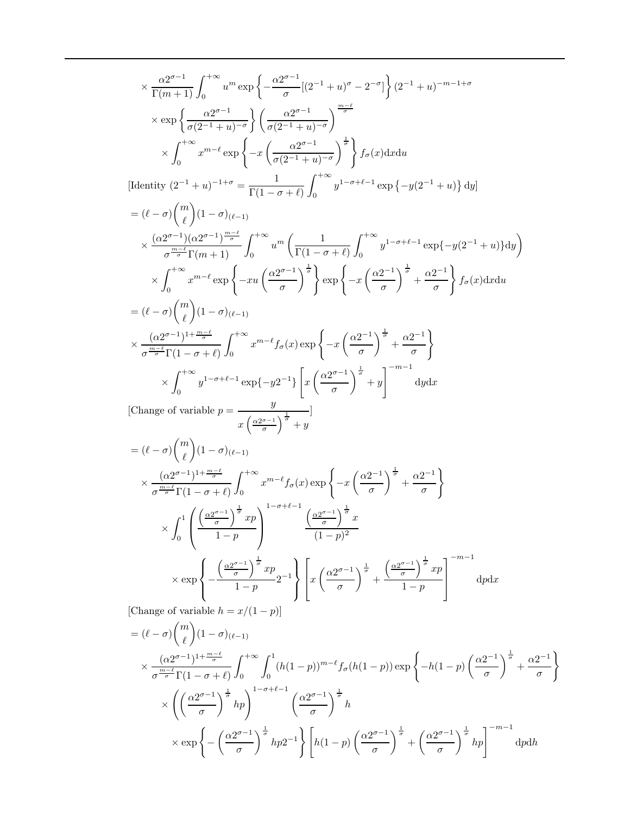$$
\times \frac{\alpha 2^{\sigma-1}}{\Gamma(m+1)} \int_0^{+\infty} u^m \exp \left\{ -\frac{\alpha 2^{\sigma-1}}{\sigma} [(2^{-1} + u)^{\sigma} - 2^{-\sigma}] \right\} (2^{-1} + u)^{-m-1+\sigma}
$$
\n
$$
\times \exp \left\{ \frac{\alpha 2^{\sigma-1}}{\sigma(2^{-1} + u)^{-\sigma}} \right\} \left( \frac{\alpha 2^{\sigma-1}}{\sigma(2^{-1} + u)^{-\sigma}} \right)^{\frac{m-\sigma}{\sigma}}
$$
\n
$$
\times \int_0^{+\infty} x^{m-\ell} \exp \left\{ -x \left( \frac{\alpha 2^{\sigma-1}}{\sigma(2^{-1} + u)^{-\sigma}} \right)^{\frac{1}{\sigma}} \right\} f_{\sigma}(x) dx du
$$
\n[Identity  $(2^{-1} + u)^{-1+\sigma} = \frac{1}{\Gamma(1-\sigma+\ell)} \int_0^{+\infty} y^{1-\sigma+\ell-1} \exp \left\{ -y(2^{-1} + u) \right\} dy$ ]  
\n
$$
= (\ell - \sigma) {m \choose \ell} (1 - \sigma)_{(\ell-1)}
$$
\n
$$
\times \frac{(\alpha 2^{\sigma-1})(\alpha 2^{\sigma-1})^{\frac{m-\ell}{\sigma}}}{\sigma^{\frac{m-\ell}{\sigma}} \Gamma(m+1)} \int_0^{+\infty} u^m \left( \frac{1}{\Gamma(1-\sigma+\ell)} \int_0^{+\infty} y^{1-\sigma+\ell-1} \exp \left\{ -y(2^{-1} + u) \right\} dy \right)
$$
\n
$$
\times \int_0^{+\infty} x^{m-\ell} \exp \left\{ -xu \left( \frac{\alpha 2^{\sigma-1}}{\sigma} \right)^{\frac{1}{\sigma}} \right\} \exp \left\{ -x \left( \frac{\alpha 2^{-1}}{\sigma} \right)^{\frac{1}{\sigma}} + \frac{\alpha 2^{-1}}{\sigma} \right\} f_{\sigma}(x) dx du
$$
\n
$$
= (\ell - \sigma) {m \choose \ell} (1 - \sigma)_{(\ell-1)}
$$
\n
$$
\times \int_0^{+\infty} y^{1-\sigma+\ell-1} \exp \left\{ -y(2^{-1}) \left[ \frac{\alpha (2^{\sigma-1})}{\sigma} \right]^{\frac{1}{\sigma}} + \frac{\alpha 2^{-1
$$

$$
= (\ell - \sigma) {m \choose \ell} (1 - \sigma)_{(\ell-1)}
$$
  
\n
$$
\times \frac{(\alpha 2^{\sigma-1})^{1 + \frac{m-\ell}{\sigma}}}{\sigma^{\frac{m-\ell}{\sigma}} \Gamma(1 - \sigma + \ell)} \int_0^{+\infty} \int_0^1 (h(1-p))^{m-\ell} f_\sigma(h(1-p)) \exp\left\{-h(1-p) \left(\frac{\alpha 2^{-1}}{\sigma}\right)^{\frac{1}{\sigma}} + \frac{\alpha 2^{-1}}{\sigma}\right\}
$$
  
\n
$$
\times \left( \left(\frac{\alpha 2^{\sigma-1}}{\sigma}\right)^{\frac{1}{\sigma}} h p \right)^{1 - \sigma + \ell - 1} \left(\frac{\alpha 2^{\sigma-1}}{\sigma}\right)^{\frac{1}{\sigma}} h
$$
  
\n
$$
\times \exp\left\{-\left(\frac{\alpha 2^{\sigma-1}}{\sigma}\right)^{\frac{1}{\sigma}} h p 2^{-1}\right\} \left[h(1-p) \left(\frac{\alpha 2^{\sigma-1}}{\sigma}\right)^{\frac{1}{\sigma}} + \left(\frac{\alpha 2^{\sigma-1}}{\sigma}\right)^{\frac{1}{\sigma}} h p \right]^{-m-1} dp dh
$$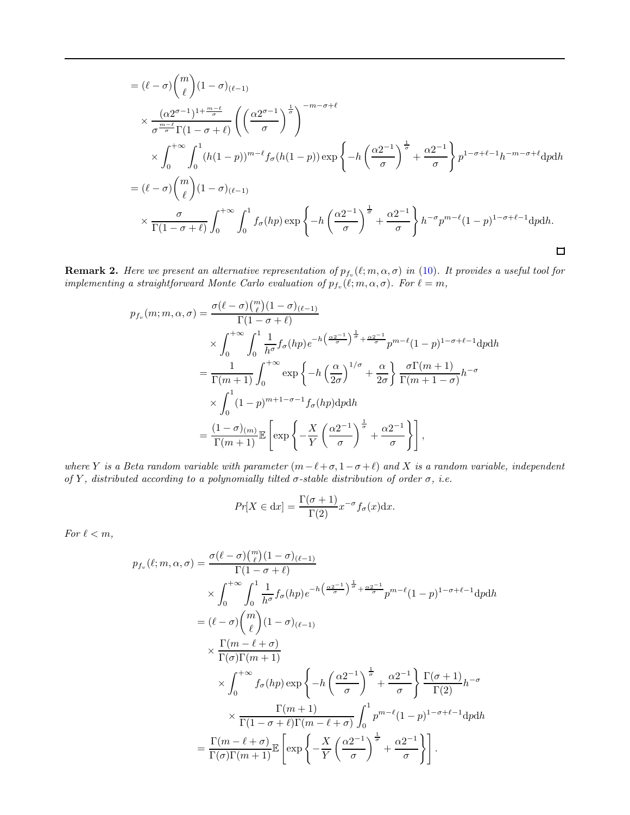$$
= (\ell - \sigma) {m \choose \ell} (1 - \sigma)_{(\ell-1)}
$$
  
\n
$$
\times \frac{(\alpha 2^{\sigma-1})^{1 + \frac{m-\ell}{\sigma}}}{\sigma^{\frac{m-\ell}{\sigma}} \Gamma(1 - \sigma + \ell)} \left( \left( \frac{\alpha 2^{\sigma-1}}{\sigma} \right)^{\frac{1}{\sigma}} \right)^{-m - \sigma + \ell}
$$
  
\n
$$
\times \int_0^{+\infty} \int_0^1 (h(1-p))^{m-\ell} f_{\sigma}(h(1-p)) \exp \left\{-h \left( \frac{\alpha 2^{-1}}{\sigma} \right)^{\frac{1}{\sigma}} + \frac{\alpha 2^{-1}}{\sigma} \right\} p^{1 - \sigma + \ell - 1} h^{-m - \sigma + \ell} dp dh
$$
  
\n
$$
= (\ell - \sigma) {m \choose \ell} (1 - \sigma)_{(\ell-1)}
$$
  
\n
$$
\times \frac{\sigma}{\Gamma(1 - \sigma + \ell)} \int_0^{+\infty} \int_0^1 f_{\sigma}(hp) \exp \left\{-h \left( \frac{\alpha 2^{-1}}{\sigma} \right)^{\frac{1}{\sigma}} + \frac{\alpha 2^{-1}}{\sigma} \right\} h^{-\sigma} p^{m - \ell} (1 - p)^{1 - \sigma + \ell - 1} dp dh.
$$

<span id="page-19-0"></span>**Remark 2.** Here we present an alternative representation of  $p_{f_v}(\ell;m,\alpha,\sigma)$  in [\(10\)](#page-15-0). It provides a useful tool for implementing a straightforward Monte Carlo evaluation of  $p_{f_v}(\ell;m,\alpha,\sigma)$ . For  $\ell=m$ ,

$$
p_{f_v}(m; m, \alpha, \sigma) = \frac{\sigma(\ell - \sigma) \binom{m}{\ell} (1 - \sigma)_{(\ell-1)}}{\Gamma(1 - \sigma + \ell)}
$$
  
\$\times \int\_0^{+\infty} \int\_0^1 \frac{1}{h^{\sigma}} f\_{\sigma}(hp) e^{-h \left(\frac{\alpha 2^{-1}}{\sigma}\right)^{\frac{1}{\sigma}} + \frac{\alpha 2^{-1}}{\sigma}} p^{m-\ell} (1 - p)^{1 - \sigma + \ell - 1} dp dh\$  
= 
$$
\frac{1}{\Gamma(m+1)} \int_0^{+\infty} \exp \left\{-h \left(\frac{\alpha}{2\sigma}\right)^{1/\sigma} + \frac{\alpha}{2\sigma}\right\} \frac{\sigma \Gamma(m+1)}{\Gamma(m+1 - \sigma)} h^{-\sigma}
$$
  
\$\times \int\_0^1 (1 - p)^{m+1-\sigma-1} f\_{\sigma}(hp) dp dh\$  
= 
$$
\frac{(1 - \sigma)_{(m)}}{\Gamma(m+1)} \mathbb{E} \left[ \exp \left\{-\frac{X}{Y} \left(\frac{\alpha 2^{-1}}{\sigma}\right)^{\frac{1}{\sigma}} + \frac{\alpha 2^{-1}}{\sigma} \right\} \right],
$$

where Y is a Beta random variable with parameter  $(m-\ell+\sigma, 1-\sigma+\ell)$  and X is a random variable, independent of Y, distributed according to a polynomially tilted  $\sigma$ -stable distribution of order  $\sigma$ , i.e.

$$
Pr[X \in dx] = \frac{\Gamma(\sigma + 1)}{\Gamma(2)} x^{-\sigma} f_{\sigma}(x) dx.
$$

For  $\ell < m$ ,

$$
p_{f_v}(\ell;m,\alpha,\sigma) = \frac{\sigma(\ell-\sigma)\binom{m}{\ell}(1-\sigma)_{(\ell-1)}}{\Gamma(1-\sigma+\ell)}
$$
  
\n
$$
\times \int_0^{+\infty} \int_0^1 \frac{1}{h^{\sigma}} f_{\sigma}(hp) e^{-h(\frac{\alpha 2^{-1}}{\sigma})^{\frac{1}{\sigma}} + \frac{\alpha 2^{-1}}{\sigma}} p^{m-\ell}(1-p)^{1-\sigma+\ell-1} dp dh
$$
  
\n
$$
= (\ell-\sigma)\binom{m}{\ell}(1-\sigma)_{(\ell-1)}
$$
  
\n
$$
\times \frac{\Gamma(m-\ell+\sigma)}{\Gamma(\sigma)\Gamma(m+1)}
$$
  
\n
$$
\times \int_0^{+\infty} f_{\sigma}(hp) \exp\left\{-h(\frac{\alpha 2^{-1}}{\sigma})^{\frac{1}{\sigma}} + \frac{\alpha 2^{-1}}{\sigma}\right\} \frac{\Gamma(\sigma+1)}{\Gamma(2)} h^{-\sigma}
$$
  
\n
$$
\times \frac{\Gamma(m+1)}{\Gamma(1-\sigma+\ell)\Gamma(m-\ell+\sigma)} \int_0^1 p^{m-\ell}(1-p)^{1-\sigma+\ell-1} dp dh
$$
  
\n
$$
= \frac{\Gamma(m-\ell+\sigma)}{\Gamma(\sigma)\Gamma(m+1)} \mathbb{E}\left[\exp\left\{-\frac{X}{Y}(\frac{\alpha 2^{-1}}{\sigma})^{\frac{1}{\sigma}} + \frac{\alpha 2^{-1}}{\sigma}\right\}\right].
$$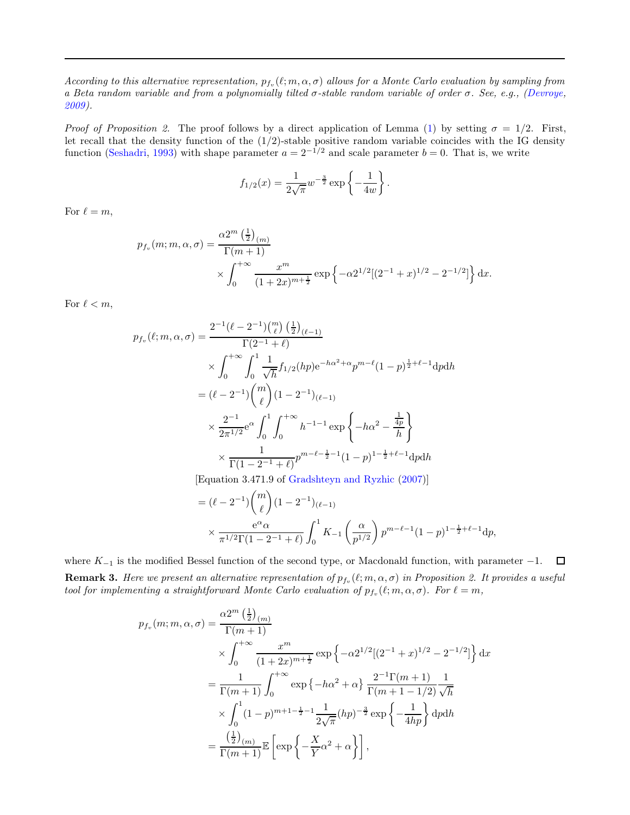According to this alternative representation,  $p_{f_v}(\ell;m,\alpha,\sigma)$  allows for a Monte Carlo evaluation by sampling from a Beta random variable and from a polynomially tilted  $\sigma$ -stable random variable of order  $\sigma$ . See, e.g., [\(Devroye](#page-24-14), [2009](#page-24-14)).

*Proof of Proposition 2.* The proof follows by a direct application of Lemma [\(1\)](#page-15-2) by setting  $\sigma = 1/2$ . First, let recall that the density function of the  $(1/2)$ -stable positive random variable coincides with the IG density function [\(Seshadri,](#page-25-3) [1993\)](#page-25-3) with shape parameter  $a = 2^{-1/2}$  and scale parameter  $b = 0$ . That is, we write

$$
f_{1/2}(x) = \frac{1}{2\sqrt{\pi}} w^{-\frac{3}{2}} \exp\left\{-\frac{1}{4w}\right\}
$$

.

For  $\ell = m$ ,

$$
p_{f_v}(m; m, \alpha, \sigma) = \frac{\alpha 2^m \left(\frac{1}{2}\right)_{(m)}}{\Gamma(m+1)} \times \int_0^{+\infty} \frac{x^m}{(1+2x)^{m+\frac{1}{2}}} \exp\left\{-\alpha 2^{1/2}[(2^{-1}+x)^{1/2}-2^{-1/2}]\right\} dx.
$$

For  $\ell < m$ ,

$$
p_{f_v}(\ell; m, \alpha, \sigma) = \frac{2^{-1}(\ell - 2^{-1}) {m \choose \ell} \left(\frac{1}{2}\right)_{(\ell-1)}}{\Gamma(2^{-1} + \ell)}
$$
  
 
$$
\times \int_0^{+\infty} \int_0^1 \frac{1}{\sqrt{h}} f_{1/2}(hp) e^{-h\alpha^2 + \alpha} p^{m-\ell} (1-p)^{\frac{1}{2}+\ell-1} dp dh
$$
  

$$
= (\ell - 2^{-1}) {m \choose \ell} (1 - 2^{-1})_{(\ell-1)}
$$
  

$$
\times \frac{2^{-1}}{2\pi^{1/2}} e^{\alpha} \int_0^1 \int_0^{+\infty} h^{-1-1} \exp\left\{-h\alpha^2 - \frac{\frac{1}{4p}}{h}\right\}
$$
  

$$
\times \frac{1}{\Gamma(1 - 2^{-1} + \ell)} p^{m-\ell-\frac{1}{2}-1} (1-p)^{1-\frac{1}{2}+\ell-1} dp dh
$$
  
[Equation 3.471.9 of Gradshtev and Ryzhic (2007)]

[Equation 3.471.9 of [Gradshteyn and Ryzhic](#page-24-15) [\(2007\)](#page-24-15)]

$$
= (\ell - 2^{-1}) {m \choose \ell} (1 - 2^{-1})_{(\ell-1)}
$$
  
 
$$
\times \frac{e^{\alpha} \alpha}{\pi^{1/2} \Gamma(1 - 2^{-1} + \ell)} \int_0^1 K_{-1} \left( \frac{\alpha}{p^{1/2}} \right) p^{m-\ell-1} (1 - p)^{1 - \frac{1}{2} + \ell - 1} dp,
$$

where  $K_{-1}$  is the modified Bessel function of the second type, or Macdonald function, with parameter  $-1$ .  $\Box$ **Remark 3.** Here we present an alternative representation of  $p_{f_v}(\ell;m,\alpha,\sigma)$  in Proposition 2. It provides a useful tool for implementing a straightforward Monte Carlo evaluation of  $p_{f_v}(\ell;m,\alpha,\sigma)$ . For  $\ell=m$ ,

$$
p_{f_v}(m; m, \alpha, \sigma) = \frac{\alpha 2^m \left(\frac{1}{2}\right)_{(m)}}{\Gamma(m+1)}
$$
  
 
$$
\times \int_0^{+\infty} \frac{x^m}{(1+2x)^{m+\frac{1}{2}}} \exp\left\{-\alpha 2^{1/2}[(2^{-1}+x)^{1/2}-2^{-1/2}]\right\} dx
$$
  

$$
= \frac{1}{\Gamma(m+1)} \int_0^{+\infty} \exp\left\{-h\alpha^2 + \alpha\right\} \frac{2^{-1}\Gamma(m+1)}{\Gamma(m+1-1/2)} \frac{1}{\sqrt{h}}
$$
  

$$
\times \int_0^{1} (1-p)^{m+1-\frac{1}{2}-1} \frac{1}{2\sqrt{\pi}}(hp)^{-\frac{3}{2}} \exp\left\{-\frac{1}{4hp}\right\} dp dh
$$
  

$$
= \frac{\left(\frac{1}{2}\right)_{(m)}}{\Gamma(m+1)} \mathbb{E}\left[\exp\left\{-\frac{X}{Y}\alpha^2 + \alpha\right\}\right],
$$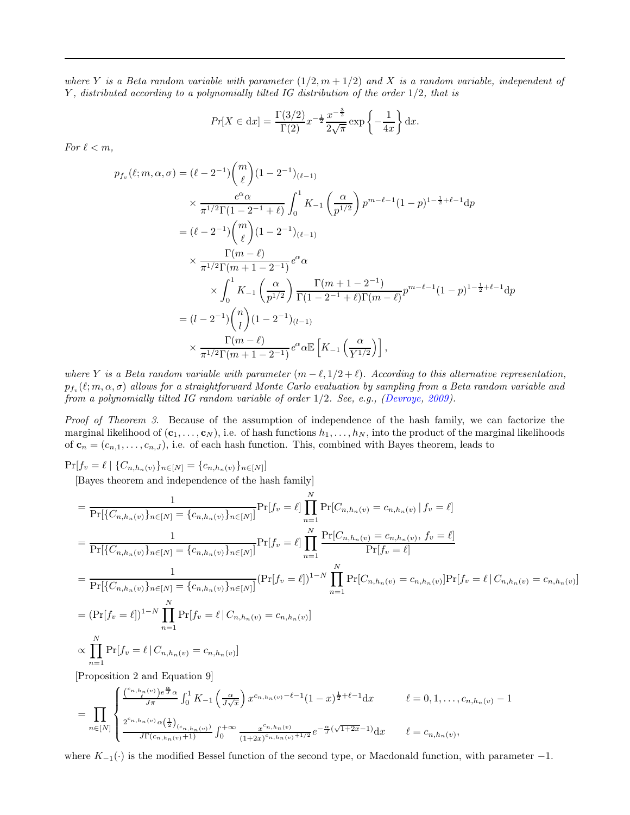where Y is a Beta random variable with parameter  $(1/2, m + 1/2)$  and X is a random variable, independent of Y , distributed according to a polynomially tilted IG distribution of the order 1/2, that is

$$
Pr[X \in dx] = \frac{\Gamma(3/2)}{\Gamma(2)} x^{-\frac{1}{2}} \frac{x^{-\frac{3}{2}}}{2\sqrt{\pi}} \exp\left\{-\frac{1}{4x}\right\} dx.
$$

For  $\ell < m$ ,

$$
p_{f_v}(\ell;m,\alpha,\sigma) = (\ell - 2^{-1}) {m \choose \ell} (1 - 2^{-1})_{(\ell-1)}
$$
  
\n
$$
\times \frac{e^{\alpha} \alpha}{\pi^{1/2} \Gamma(1 - 2^{-1} + \ell)} \int_0^1 K_{-1} \left( \frac{\alpha}{p^{1/2}} \right) p^{m-\ell-1} (1 - p)^{1 - \frac{1}{2} + \ell - 1} dp
$$
  
\n
$$
= (\ell - 2^{-1}) {m \choose \ell} (1 - 2^{-1})_{(\ell-1)}
$$
  
\n
$$
\times \frac{\Gamma(m - \ell)}{\pi^{1/2} \Gamma(m + 1 - 2^{-1})} e^{\alpha} \alpha
$$
  
\n
$$
\times \int_0^1 K_{-1} \left( \frac{\alpha}{p^{1/2}} \right) \frac{\Gamma(m + 1 - 2^{-1})}{\Gamma(1 - 2^{-1} + \ell) \Gamma(m - \ell)} p^{m - \ell - 1} (1 - p)^{1 - \frac{1}{2} + \ell - 1} dp
$$
  
\n
$$
= (\ell - 2^{-1}) {n \choose \ell} (1 - 2^{-1})_{(\ell-1)}
$$
  
\n
$$
\times \frac{\Gamma(m - \ell)}{\pi^{1/2} \Gamma(m + 1 - 2^{-1})} e^{\alpha} \alpha \mathbb{E} \left[ K_{-1} \left( \frac{\alpha}{Y^{1/2}} \right) \right],
$$

where Y is a Beta random variable with parameter  $(m - \ell, 1/2 + \ell)$ . According to this alternative representation,  $p_{f_v}(\ell;m,\alpha,\sigma)$  allows for a straightforward Monte Carlo evaluation by sampling from a Beta random variable and from a polynomially tilted IG random variable of order 1/2. See, e.g., [\(Devroye](#page-24-14), [2009](#page-24-14)).

Proof of Theorem 3. Because of the assumption of independence of the hash family, we can factorize the marginal likelihood of  $(c_1, \ldots, c_N)$ , i.e. of hash functions  $h_1, \ldots, h_N$ , into the product of the marginal likelihoods of  $\mathbf{c}_n = (c_{n,1}, \ldots, c_{n,J})$ , i.e. of each hash function. This, combined with Bayes theorem, leads to

 $Pr[f_v = \ell \mid \{C_{n,h_n(v)}\}_{n \in [N]} = \{c_{n,h_n(v)}\}_{n \in [N]}]$ 

[Bayes theorem and independence of the hash family]

$$
= \frac{1}{\Pr[\{C_{n,h_n(v)}\}_{n\in[N]} = \{c_{n,h_n(v)}\}_{n\in[N]}]} \Pr[f_v = \ell] \prod_{n=1}^{N} \Pr[C_{n,h_n(v)} = c_{n,h_n(v)} | f_v = \ell]
$$
  
\n
$$
= \frac{1}{\Pr[\{C_{n,h_n(v)}\}_{n\in[N]} = \{c_{n,h_n(v)}\}_{n\in[N]}]} \Pr[f_v = \ell] \prod_{n=1}^{N} \frac{\Pr[C_{n,h_n(v)} = c_{n,h_n(v)}, f_v = \ell]}{\Pr[f_v = \ell]}
$$
  
\n
$$
= \frac{1}{\Pr[\{C_{n,h_n(v)}\}_{n\in[N]} = \{c_{n,h_n(v)}\}_{n\in[N]}]} (\Pr[f_v = \ell])^{1-N} \prod_{n=1}^{N} \Pr[C_{n,h_n(v)} = c_{n,h_n(v)}] \Pr[f_v = \ell | C_{n,h_n(v)} = c_{n,h_n(v)}]
$$
  
\n
$$
= (\Pr[f_v = \ell])^{1-N} \prod_{n=1}^{N} \Pr[f_v = \ell | C_{n,h_n(v)} = c_{n,h_n(v)}]
$$
  
\n
$$
\propto \prod_{n=1}^{N} \Pr[f_v = \ell | C_{n,h_n(v)} = c_{n,h_n(v)}]
$$

[Proposition 2 and Equation 9]

$$
= \prod_{n\in[N]} \begin{cases} \frac{\binom{c_{n,h_n(v)}}{\ell}e^{\frac{\alpha}{J}}\alpha}{J\pi} \int_0^1 K_{-1}\left(\frac{\alpha}{J\sqrt{x}}\right)x^{c_{n,h_n(v)}-\ell-1}(1-x)^{\frac{1}{2}+\ell-1}\mathrm{d}x & \ell=0,1,\ldots,c_{n,h_n(v)}-1\\ \frac{2^{c_{n,h_n(v)}}\alpha(\frac{1}{2})_{(c_{n,h_n(v)})}}{J\Gamma(c_{n,h_n(v)}+1)} \int_0^{+\infty} \frac{x^{c_{n,h_n(v)}}}{(1+2x)^{c_{n,h_n(v)}+1/2}} e^{-\frac{\alpha}{J}\left(\sqrt{1+2x}-1\right)} \mathrm{d}x & \ell=c_{n,h_n(v)}, \end{cases}
$$

where  $K_{-1}(\cdot)$  is the modified Bessel function of the second type, or Macdonald function, with parameter  $-1$ .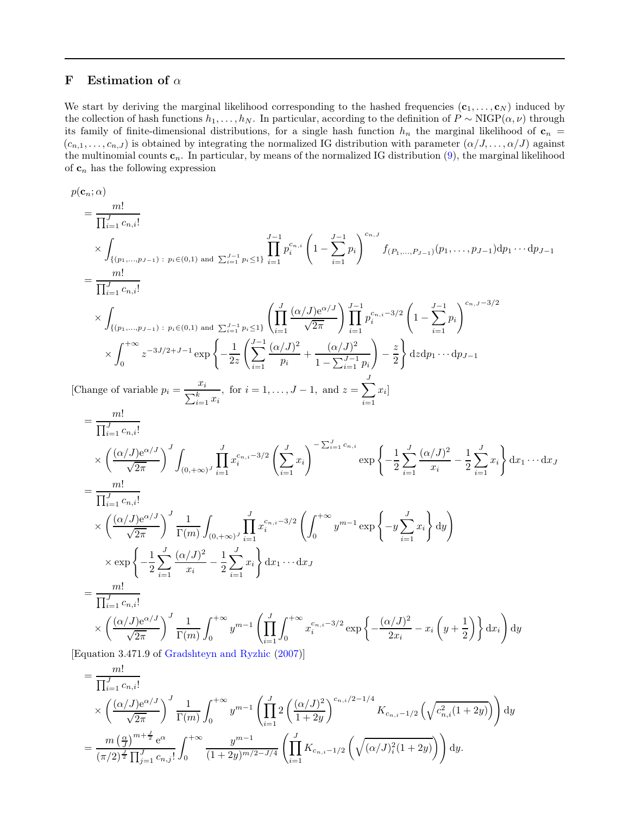## F Estimation of  $\alpha$

We start by deriving the marginal likelihood corresponding to the hashed frequencies  $(c_1, \ldots, c_N)$  induced by the collection of hash functions  $h_1, \ldots, h_N$ . In particular, according to the definition of  $P \sim \text{NIGP}(\alpha, \nu)$  through its family of finite-dimensional distributions, for a single hash function  $h_n$  the marginal likelihood of  $c_n$  $(c_{n,1},\ldots,c_{n,J})$  is obtained by integrating the normalized IG distribution with parameter  $(\alpha/J,\ldots,\alpha/J)$  against the multinomial counts  $c_n$ . In particular, by means of the normalized IG distribution  $(9)$ , the marginal likelihood of  $\mathbf{c}_n$  has the following expression

$$
p(c_n; \alpha)
$$
\n
$$
= \frac{m!}{\prod_{i=1}^{J} c_{n,i}!}
$$
\n
$$
\times \int_{\{(p_1, \ldots, p_{J-1}) \, : \, p_i \in (0,1) \text{ and } \sum_{i=1}^{J-1} p_i^{c_{n,i}} \left(1 - \sum_{i=1}^{J-1} p_i\right)^{c_{n,J}} f_{(P_1, \ldots, P_{J-1})}(p_1, \ldots, p_{J-1}) dp_1 \cdots dp_{J-1}
$$
\n
$$
= \frac{m!}{\prod_{i=1}^{J} c_{n,i}!}
$$
\n
$$
\times \int_{\{(p_1, \ldots, p_{J-1}) \, : \, p_i \in (0,1) \text{ and } \sum_{i=1}^{J-1} p_i \le 1\}} \left(\prod_{i=1}^{J} \frac{(\alpha/J)^{\alpha/J}}{\sqrt{2\pi}}\right) \prod_{i=1}^{J-1} p_i^{c_{n,i} - 3/2} \left(1 - \sum_{i=1}^{J-1} p_i\right)^{c_{n,J} - 3/2}
$$
\n
$$
\times \int_{0}^{+\infty} z^{-3J/2 + J - 1} \exp\left\{-\frac{1}{2z} \left(\sum_{i=1}^{J-1} \frac{(\alpha/J)^2}{p_i} + \frac{(\alpha/J)^2}{1 - \sum_{i=1}^{J-1} p_i}\right) - \frac{z}{2}\right\} d z dp_1 \cdots dp_{J-1}
$$
\n[Change of variable  $p_i = \frac{x_i}{\sum_{i=1}^{k} x_i}$ , for  $i = 1, \ldots, J - 1$ , and  $z = \sum_{i=1}^{J} x_i$ ]  
\n
$$
= \frac{m!}{\prod_{i=1}^{J} c_{n,i}!}
$$
\n
$$
\times \left(\frac{(\alpha/J)^{\alpha/J}}{\sqrt{2\pi}}\right)^J \int_{(0, +\infty)^J} \prod_{i=1}^{J} x_i^{c_{n,i} - 3/2} \left(\sum_{i=1}^{J} x_i\right)^{-\sum_{i=1}^{J} c_{n,i}} \exp\left\{-\frac{1}{2} \sum_{i=1}^{J} \frac{(\alpha/J)^2}{x_i} - \frac{1}{2} \sum_{i=1
$$

[Equation 3.471.9 of [Gradshteyn and Ryzhic](#page-24-15) [\(2007](#page-24-15))]

$$
= \frac{m!}{\prod_{i=1}^{J} c_{n,i}!} \times \left(\frac{(\alpha/J)e^{\alpha/J}}{\sqrt{2\pi}}\right)^{J} \frac{1}{\Gamma(m)} \int_{0}^{+\infty} y^{m-1} \left(\prod_{i=1}^{J} 2\left(\frac{(\alpha/J)^{2}}{1+2y}\right)^{c_{n,i}/2-1/4} K_{c_{n,i}-1/2}\left(\sqrt{c_{n,i}^{2}(1+2y)}\right)\right) dy
$$
  

$$
= \frac{m\left(\frac{\alpha}{J}\right)^{m+\frac{J}{2}} e^{\alpha}}{(\pi/2)^{\frac{J}{2}} \prod_{j=1}^{J} c_{n,j}!} \int_{0}^{+\infty} \frac{y^{m-1}}{(1+2y)^{m/2-J/4}} \left(\prod_{i=1}^{J} K_{c_{n,i}-1/2}\left(\sqrt{(\alpha/J)^{2}_{i}(1+2y)}\right)\right) dy.
$$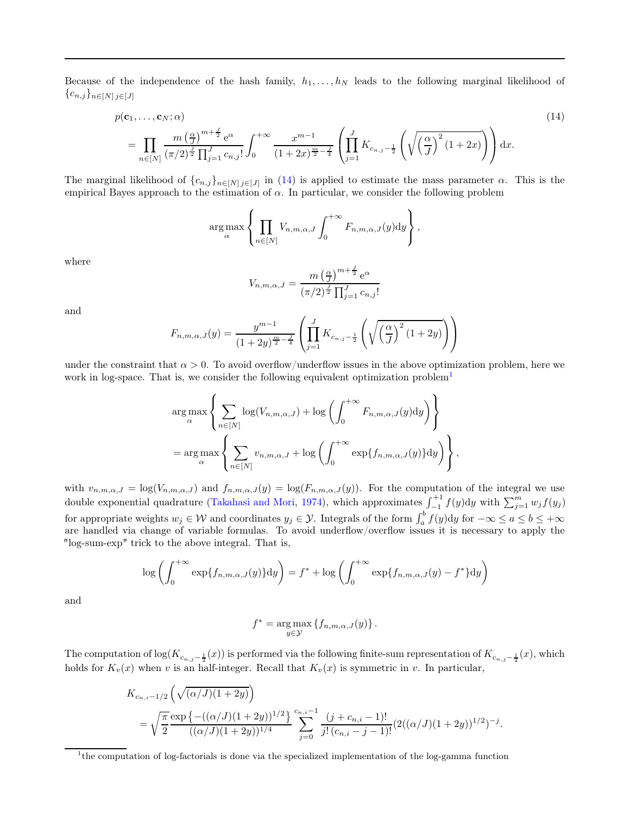Because of the independence of the hash family,  $h_1, \ldots, h_N$  leads to the following marginal likelihood of  $\{c_{n,j}\}_{n\in[N]}\,j\in[J]$ 

$$
p(\mathbf{c}_1, ..., \mathbf{c}_N; \alpha) \tag{14}
$$
\n
$$
= \prod_{n \in [N]} \frac{m \left(\frac{\alpha}{J}\right)^{m + \frac{J}{2}} e^{\alpha}}{\left(\pi/2\right)^{\frac{J}{2}} \prod_{j=1}^{J} c_{n,j}!} \int_0^{+\infty} \frac{x^{m-1}}{(1 + 2x)^{\frac{m}{2} - \frac{J}{4}}} \left(\prod_{j=1}^J K_{c_{n,j} - \frac{1}{2}} \left(\sqrt{\left(\frac{\alpha}{J}\right)^2 (1 + 2x)}\right)\right) dx.
$$

The marginal likelihood of  $\{c_{n,j}\}_{n\in[N]}\subset j\in[J]$  in  $(14)$  is applied to estimate the mass parameter  $\alpha$ . This is the empirical Bayes approach to the estimation of  $\alpha$ . In particular, we consider the following problem

$$
\arg \max_{\alpha} \left\{ \prod_{n \in [N]} V_{n,m,\alpha,J} \int_0^{+\infty} F_{n,m,\alpha,J}(y) dy \right\},\,
$$

where

<span id="page-23-0"></span>
$$
V_{n,m,\alpha,J} = \frac{m\left(\frac{\alpha}{J}\right)^{m+\frac{J}{2}} e^{\alpha}}{(\pi/2)^{\frac{J}{2}} \prod_{j=1}^{J} c_{n,j}!}
$$

and

$$
F_{n,m,\alpha,J}(y) = \frac{y^{m-1}}{(1+2y)^{\frac{m}{2}-\frac{J}{4}}} \left( \prod_{j=1}^{J} K_{c_{n,j}-\frac{1}{2}} \left( \sqrt{\left(\frac{\alpha}{J}\right)^2 (1+2y)} \right) \right)
$$

under the constraint that  $\alpha > 0$ . To avoid overflow/underflow issues in the above optimization problem, here we work in log-space. That is, we consider the following equivalent optimization problem<sup>[1](#page-23-1)</sup>

$$
\arg\max_{\alpha} \left\{ \sum_{n \in [N]} \log(V_{n,m,\alpha,J}) + \log \left( \int_0^{+\infty} F_{n,m,\alpha,J}(y) dy \right) \right\}
$$
  
= 
$$
\arg\max_{\alpha} \left\{ \sum_{n \in [N]} v_{n,m,\alpha,J} + \log \left( \int_0^{+\infty} \exp\{f_{n,m,\alpha,J}(y)\} dy \right) \right\},
$$

with  $v_{n,m,\alpha,J} = \log(V_{n,m,\alpha,J})$  and  $f_{n,m,\alpha,J}(y) = \log(F_{n,m,\alpha,J}(y))$ . For the computation of the integral we use double exponential quadrature [\(Takahasi and Mori,](#page-25-5) [1974\)](#page-25-5), which approximates  $\int_{-1}^{+1} f(y) dy$  with  $\sum_{j=1}^{m} w_j f(y_j)$ for appropriate weights  $w_j \in \mathcal{W}$  and coordinates  $y_j \in \mathcal{Y}$ . Integrals of the form  $\int_a^b f(y) dy$  for  $-\infty \le a \le b \le +\infty$ are handled via change of variable formulas. To avoid underflow/overflow issues it is necessary to apply the "log-sum-exp" trick to the above integral. That is,

$$
\log\left(\int_0^{+\infty} \exp\{f_{n,m,\alpha,J}(y)\} dy\right) = f^* + \log\left(\int_0^{+\infty} \exp\{f_{n,m,\alpha,J}(y) - f^*\} dy\right)
$$

and

$$
f^* = \underset{y \in \mathcal{Y}}{\arg \max} \left\{ f_{n,m,\alpha,J}(y) \right\}.
$$

The computation of  $log(K_{c_{n,j}-\frac{1}{2}}(x))$  is performed via the following finite-sum representation of  $K_{c_{n,j}-\frac{1}{2}}(x)$ , which holds for  $K_v(x)$  when v is an half-integer. Recall that  $K_v(x)$  is symmetric in v. In particular,

$$
K_{c_{n,i}-1/2}\left(\sqrt{(\alpha/J)(1+2y)}\right)
$$
  
=  $\sqrt{\frac{\pi}{2}} \frac{\exp\left\{-((\alpha/J)(1+2y))^{1/2}\right\}}{((\alpha/J)(1+2y))^{1/4}} \sum_{j=0}^{c_{n,i}-1} \frac{(j+c_{n,i}-1)!}{j!(c_{n,i}-j-1)!} (2((\alpha/J)(1+2y))^{1/2})^{-j}.$ 

<span id="page-23-1"></span><sup>&</sup>lt;sup>1</sup>the computation of log-factorials is done via the specialized implementation of the log-gamma function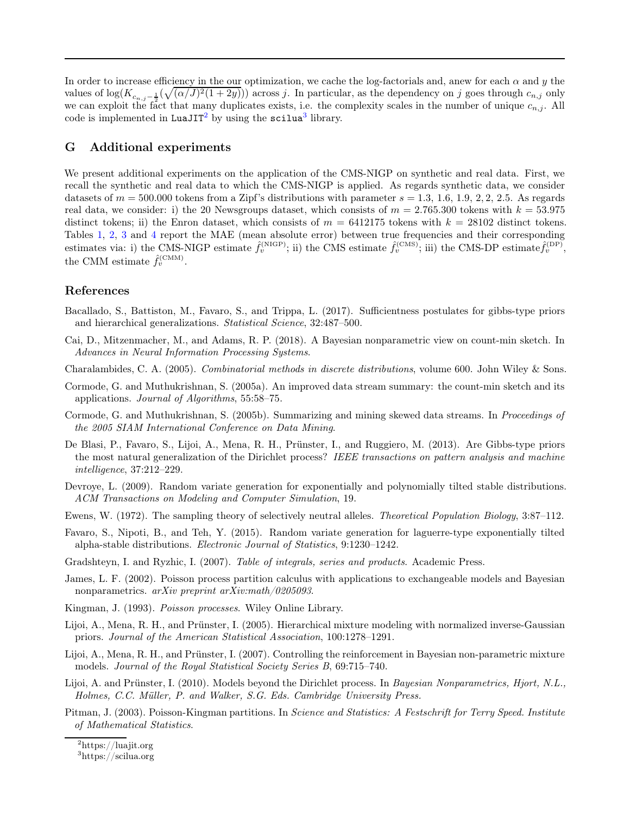In order to increase efficiency in the our optimization, we cache the log-factorials and, anew for each  $\alpha$  and y the values of  $log(K_{c_{n,j}-\frac{1}{2}}(\sqrt{(\alpha/J)^2(1+2y)}))$  across j. In particular, as the dependency on j goes through  $c_{n,j}$  only we can exploit the fact that many duplicates exists, i.e. the complexity scales in the number of unique  $c_{n,j}$ . All code is implemented in LuaJIT<sup>[2](#page-24-16)</sup> by using the  $scilua<sup>3</sup>$  $scilua<sup>3</sup>$  $scilua<sup>3</sup>$  library.

## G Additional experiments

We present additional experiments on the application of the CMS-NIGP on synthetic and real data. First, we recall the synthetic and real data to which the CMS-NIGP is applied. As regards synthetic data, we consider datasets of  $m = 500.000$  tokens from a Zipf's distributions with parameter  $s = 1.3, 1.6, 1.9, 2, 2, 2.5$ . As regards real data, we consider: i) the 20 Newsgroups dataset, which consists of  $m = 2.765.300$  tokens with  $k = 53.975$ distinct tokens; ii) the Enron dataset, which consists of  $m = 6412175$  tokens with  $k = 28102$  distinct tokens. Tables [1,](#page-26-0) [2,](#page-27-0) [3](#page-28-0) and [4](#page-28-1) report the MAE (mean absolute error) between true frequencies and their corresponding estimates via: i) the CMS-NIGP estimate  $\hat{f}_v^{\text{(NIGP)}}$ ; ii) the CMS estimate  $\hat{f}_v^{\text{(CMS)}}$ ; iii) the CMS-DP estimate $\hat{f}_v^{\text{(DP)}}$ , the CMM estimate  $\hat{f}_v^{(\text{CMM})}$ .

## References

- <span id="page-24-10"></span>Bacallado, S., Battiston, M., Favaro, S., and Trippa, L. (2017). Sufficientness postulates for gibbs-type priors and hierarchical generalizations. Statistical Science, 32:487–500.
- <span id="page-24-2"></span>Cai, D., Mitzenmacher, M., and Adams, R. P. (2018). A Bayesian nonparametric view on count-min sketch. In Advances in Neural Information Processing Systems.
- <span id="page-24-11"></span>Charalambides, C. A. (2005). Combinatorial methods in discrete distributions, volume 600. John Wiley & Sons.
- <span id="page-24-1"></span>Cormode, G. and Muthukrishnan, S. (2005a). An improved data stream summary: the count-min sketch and its applications. Journal of Algorithms, 55:58–75.
- <span id="page-24-0"></span>Cormode, G. and Muthukrishnan, S. (2005b). Summarizing and mining skewed data streams. In Proceedings of the 2005 SIAM International Conference on Data Mining.
- <span id="page-24-9"></span>De Blasi, P., Favaro, S., Lijoi, A., Mena, R. H., Prünster, I., and Ruggiero, M. (2013). Are Gibbs-type priors the most natural generalization of the Dirichlet process? IEEE transactions on pattern analysis and machine intelligence, 37:212–229.
- <span id="page-24-14"></span>Devroye, L. (2009). Random variate generation for exponentially and polynomially tilted stable distributions. ACM Transactions on Modeling and Computer Simulation, 19.
- <span id="page-24-12"></span>Ewens, W. (1972). The sampling theory of selectively neutral alleles. Theoretical Population Biology, 3:87–112.
- <span id="page-24-13"></span>Favaro, S., Nipoti, B., and Teh, Y. (2015). Random variate generation for laguerre-type exponentially tilted alpha-stable distributions. Electronic Journal of Statistics, 9:1230–1242.
- <span id="page-24-15"></span>Gradshteyn, I. and Ryzhic, I. (2007). Table of integrals, series and products. Academic Press.
- <span id="page-24-4"></span>James, L. F. (2002). Poisson process partition calculus with applications to exchangeable models and Bayesian nonparametrics. arXiv preprint arXiv:math/0205093.
- <span id="page-24-6"></span>Kingman, J. (1993). Poisson processes. Wiley Online Library.
- <span id="page-24-3"></span>Lijoi, A., Mena, R. H., and Prünster, I. (2005). Hierarchical mixture modeling with normalized inverse-Gaussian priors. Journal of the American Statistical Association, 100:1278–1291.
- <span id="page-24-7"></span>Lijoi, A., Mena, R. H., and Prünster, I. (2007). Controlling the reinforcement in Bayesian non-parametric mixture models. Journal of the Royal Statistical Society Series B, 69:715–740.
- <span id="page-24-5"></span>Lijoi, A. and Prünster, I. (2010). Models beyond the Dirichlet process. In Bayesian Nonparametrics, Hjort, N.L., Holmes, C.C. Müller, P. and Walker, S.G. Eds. Cambridge University Press.
- <span id="page-24-8"></span>Pitman, J. (2003). Poisson-Kingman partitions. In Science and Statistics: A Festschrift for Terry Speed. Institute of Mathematical Statistics.

<sup>2</sup><https://luajit.org>

<span id="page-24-17"></span><span id="page-24-16"></span><sup>3</sup> <https://scilua.org>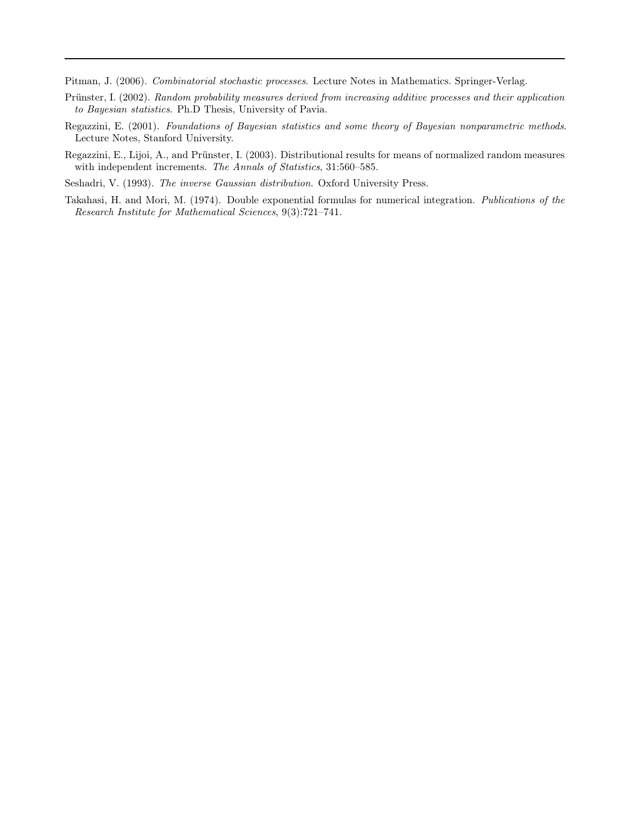<span id="page-25-2"></span>Pitman, J. (2006). Combinatorial stochastic processes. Lecture Notes in Mathematics. Springer-Verlag.

- <span id="page-25-0"></span>Prünster, I. (2002). Random probability measures derived from increasing additive processes and their application to Bayesian statistics. Ph.D Thesis, University of Pavia.
- <span id="page-25-4"></span>Regazzini, E. (2001). Foundations of Bayesian statistics and some theory of Bayesian nonparametric methods. Lecture Notes, Stanford University.
- <span id="page-25-1"></span>Regazzini, E., Lijoi, A., and Prünster, I. (2003). Distributional results for means of normalized random measures with independent increments. The Annals of Statistics, 31:560–585.
- <span id="page-25-3"></span>Seshadri, V. (1993). The inverse Gaussian distribution. Oxford University Press.
- <span id="page-25-5"></span>Takahasi, H. and Mori, M. (1974). Double exponential formulas for numerical integration. Publications of the Research Institute for Mathematical Sciences, 9(3):721–741.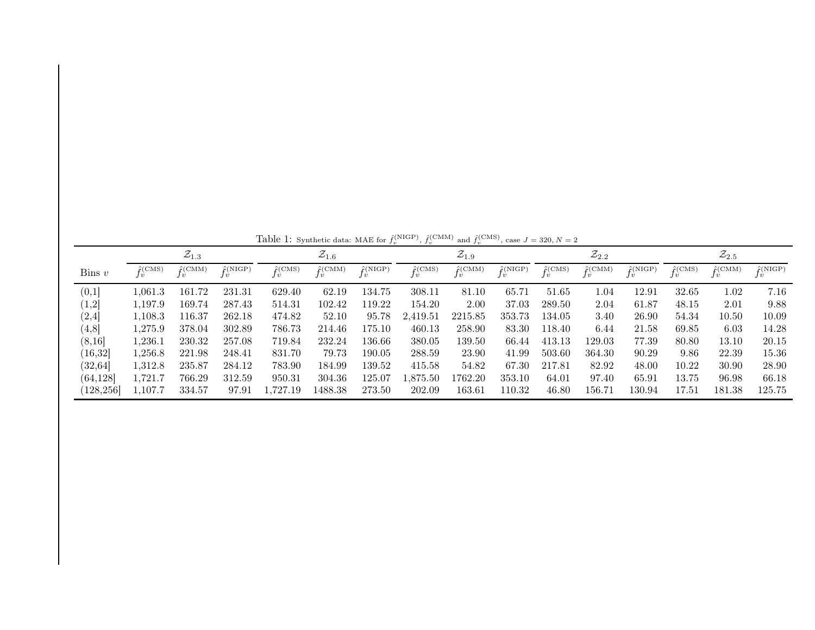|                               |                                  | $\mathcal{Z}_{1.3}$             |                                  |                                  | $\mathcal{Z}_{1.6}$                       |                                          |                       | $\mathcal{Z}_{1.9}$        |                        |                       | $\mathcal{Z}_{2.2}$ |                  |                       | $\mathcal{Z}_{2.5}$   |                        |
|-------------------------------|----------------------------------|---------------------------------|----------------------------------|----------------------------------|-------------------------------------------|------------------------------------------|-----------------------|----------------------------|------------------------|-----------------------|---------------------|------------------|-----------------------|-----------------------|------------------------|
| $\lim v$                      | $\hat{f}(\text{CMS})$<br>$_{lv}$ | $\hat{f}(\text{CMM})$<br>$\eta$ | $\hat{f}(\text{NIGP})$<br>$\eta$ | $\hat{f}(\text{CMS})$<br>$\iota$ | $\hat{f}(\text{CMM})$<br>$\boldsymbol{v}$ | $\hat{f}(\text{NIGP})$<br>$\overline{v}$ | $\hat{f}(\text{CMS})$ | $\hat{f}$ (CMM)<br>$\iota$ | $\hat{f}(\text{NIGP})$ | $\hat{f}(\text{CMS})$ | $\hat{f}$ (CMM)     | $\hat{r}$ (NIGP) | $\hat{f}(\text{CMS})$ | $\hat{f}(\text{CMM})$ | $\hat{f}(\text{NIGP})$ |
| (0,1]                         | 1,061.3                          | 161.72                          | 231.31                           | 629.40                           | 62.19                                     | 134.75                                   | 308.11                | 81.10                      | 65.71                  | 51.65                 | 0.04                | 12.91            | 32.65                 | 1.02                  | 7.16                   |
| $\left\langle 1,2\right\vert$ | 1.197.9                          | 169.74                          | 287.43                           | 514.31                           | 102.42                                    | 119.22                                   | 154.20                | 2.00                       | 37.03                  | 289.50                | 2.04                | 61.87            | 48.15                 | 2.01                  | 9.88                   |
| $\left( 2,4\right]$           | 1,108.3                          | 116.37                          | 262.18                           | 474.82                           | 52.10                                     | 95.78                                    | 2,419.51              | 2215.85                    | 353.73                 | 134.05                | 3.40                | 26.90            | 54.34                 | 10.50                 | 10.09                  |
| (4, 8]                        | 1,275.9                          | 378.04                          | 302.89                           | 786.73                           | 214.46                                    | 175.10                                   | 460.13                | 258.90                     | 83.30                  | 118.40                | 6.44                | 21.58            | 69.85                 | 6.03                  | 14.28                  |
| (8,16)                        | 1,236.1                          | 230.32                          | 257.08                           | 719.84                           | 232.24                                    | 136.66                                   | 380.05                | 139.50                     | 66.44                  | 413.13                | 129.03              | 77.39            | 80.80                 | 13.10                 | 20.15                  |
| (16, 32)                      | 1,256.8                          | 221.98                          | 248.41                           | 831.70                           | 79.73                                     | 190.05                                   | 288.59                | 23.90                      | 41.99                  | 503.60                | 364.30              | 90.29            | 9.86                  | 22.39                 | 15.36                  |
| (32, 64]                      | 1,312.8                          | 235.87                          | 284.12                           | 783.90                           | 184.99                                    | 139.52                                   | 415.58                | 54.82                      | 67.30                  | 217.81                | 82.92               | 48.00            | 10.22                 | 30.90                 | 28.90                  |
| (64, 128)                     | l.721.7                          | 766.29                          | 312.59                           | 950.31                           | 304.36                                    | 125.07                                   | ,875.50               | 1762.20                    | 353.10                 | 64.01                 | 97.40               | 65.91            | 13.75                 | 96.98                 | 66.18                  |
| (128, 256]                    | 1,107.7                          | 334.57                          | 97.91                            | ,727.19                          | 1488.38                                   | 273.50                                   | 202.09                | 163.61                     | 110.32                 | 46.80                 | 156.71              | 130.94           | 17.51                 | 181.38                | 125.75                 |

<span id="page-26-0"></span>Table 1: Synthetic data: MAE for  $f_v^{\text{(NIGP)}}, f_v^{\text{(CMM)}}$  and  $f_v^{\text{(CMS)}},$  case  $J = 320, N = 2$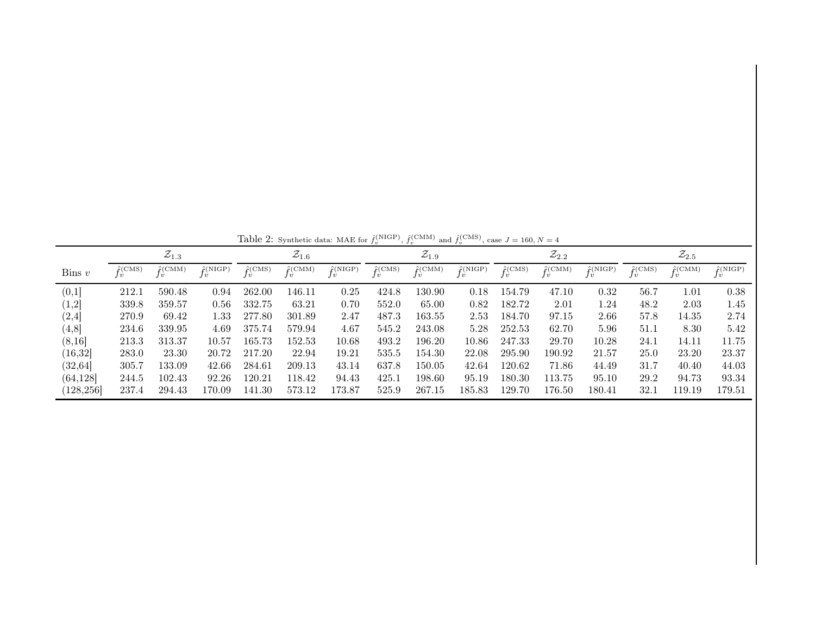|                     |                       | $\mathcal{Z}_{1.3}$   |                        |                          | $\mathcal{Z}_{1.6}$              |                        |                          | $\mathcal{Z}_{1.9}$ |                        |                       | $\mathcal{Z}_{2.2}$ |                        |                          | $\mathcal{Z}_{2.5}$   |                        |
|---------------------|-----------------------|-----------------------|------------------------|--------------------------|----------------------------------|------------------------|--------------------------|---------------------|------------------------|-----------------------|---------------------|------------------------|--------------------------|-----------------------|------------------------|
| $\lim v$            | $\hat{f}(\text{CMS})$ | $\hat{f}(\text{CMM})$ | $\hat{f}(\text{NIGP})$ | $\hat{\mathbf{f}}$ (CMS) | $\hat{f}(\text{CMM})$<br>$\iota$ | $\hat{f}(\text{NIGP})$ | $\hat{\mathbf{f}}$ (CMS) | $\hat{f}$ (CMM)     | $\hat{f}(\text{NIGP})$ | $\hat{f}(\text{CMS})$ | $\hat{f}$ (CMM)     | $\hat{f}(\text{NIGP})$ | $\hat{\mathbf{r}}$ (CMS) | $\hat{f}(\text{CMM})$ | $\hat{f}(\text{NIGP})$ |
| (0,1]               | 212.1                 | 590.48                | 0.94                   | 262.00                   | 146.11                           | 0.25                   | 424.8                    | 130.90              | 0.18                   | 154.79                | 47.10               | 0.32                   | 56.7                     | 1.01                  | 0.38                   |
| $\left( 1,2\right]$ | 339.8                 | 359.57                | 0.56                   | 332.75                   | 63.21                            | 0.70                   | 552.0                    | 65.00               | 0.82                   | 182.72                | 2.01                | 1.24                   | 48.2                     | 2.03                  | 1.45                   |
| (2,4]               | 270.9                 | 69.42                 | !.33                   | 277.80                   | 301.89                           | 2.47                   | 487.3                    | 163.55              | 2.53                   | 184.70                | 97.15               | 2.66                   | 57.8                     | 14.35                 | 2.74                   |
| (4,8]               | 234.6                 | 339.95                | 4.69                   | 375.74                   | 579.94                           | 4.67                   | 545.2                    | 243.08              | 5.28                   | 252.53                | 62.70               | 5.96                   | 51.1                     | 8.30                  | 5.42                   |
| (8,16)              | 213.3                 | 313.37                | 10.57                  | 165.73                   | 152.53                           | 10.68                  | 493.2                    | 196.20              | 10.86                  | 247.33                | 29.70               | 10.28                  | 24.1                     | 14.11                 | 11.75                  |
| (16, 32)            | 283.0                 | 23.30                 | 20.72                  | 217.20                   | 22.94                            | 19.21                  | 535.5                    | 154.30              | 22.08                  | 295.90                | 190.92              | 21.57                  | 25.0                     | 23.20                 | 23.37                  |
| (32, 64]            | 305.7                 | 133.09                | 42.66                  | 284.61                   | 209.13                           | 43.14                  | 637.8                    | 150.05              | 42.64                  | 120.62                | 71.86               | 44.49                  | 31.7                     | 40.40                 | 44.03                  |
| (64, 128)           | 244.5                 | 102.43                | 92.26                  | 120.21                   | 118.42                           | 94.43                  | 425.1                    | 198.60              | 95.19                  | 180.30                | 13.75               | 95.10                  | 29.2                     | 94.73                 | 93.34                  |
| [128, 256]          | 237.4                 | 294.43                | 170.09                 | 141.30                   | 573.12                           | 173.87                 | 525.9                    | 267.15              | 185.83                 | 129.70                | 176.50              | 180.41                 | 32.1                     | 119.19                | 179.51                 |

<span id="page-27-0"></span>Table 2: Synthetic data: MAE for  $\hat{f}_v^{\text{(NIGP)}}, \hat{f}_v^{\text{(CMM)}}$  and  $\hat{f}_v^{\text{(CMS)}}$ , case  $J = 160, N = 4$